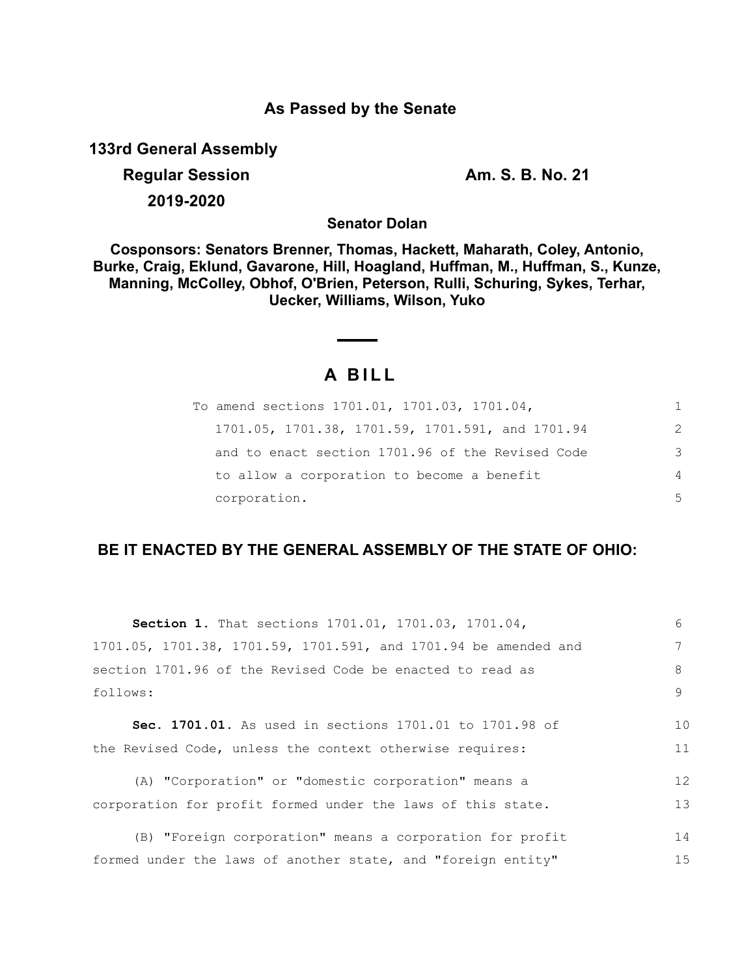# **As Passed by the Senate**

**133rd General Assembly**

**Regular Session Am. S. B. No. 21 2019-2020**

**Senator Dolan**

**Cosponsors: Senators Brenner, Thomas, Hackett, Maharath, Coley, Antonio, Burke, Craig, Eklund, Gavarone, Hill, Hoagland, Huffman, M., Huffman, S., Kunze, Manning, McColley, Obhof, O'Brien, Peterson, Rulli, Schuring, Sykes, Terhar, Uecker, Williams, Wilson, Yuko**

# **A B I L L**

| To amend sections 1701.01, 1701.03, 1701.04,     |               |
|--------------------------------------------------|---------------|
| 1701.05, 1701.38, 1701.59, 1701.591, and 1701.94 | $\mathcal{L}$ |
| and to enact section 1701.96 of the Revised Code | 3             |
| to allow a corporation to become a benefit       | 4             |
| corporation.                                     | 5             |

# **BE IT ENACTED BY THE GENERAL ASSEMBLY OF THE STATE OF OHIO:**

| Section 1. That sections 1701.01, 1701.03, 1701.04,             | 6  |
|-----------------------------------------------------------------|----|
| 1701.05, 1701.38, 1701.59, 1701.591, and 1701.94 be amended and |    |
| section 1701.96 of the Revised Code be enacted to read as       | 8  |
| follows:                                                        | 9  |
| <b>Sec. 1701.01.</b> As used in sections 1701.01 to 1701.98 of  | 10 |
|                                                                 |    |
| the Revised Code, unless the context otherwise requires:        | 11 |
| (A) "Corporation" or "domestic corporation" means a             | 12 |
| corporation for profit formed under the laws of this state.     | 13 |
| (B) "Foreign corporation" means a corporation for profit        | 14 |
|                                                                 |    |
| formed under the laws of another state, and "foreign entity"    | 15 |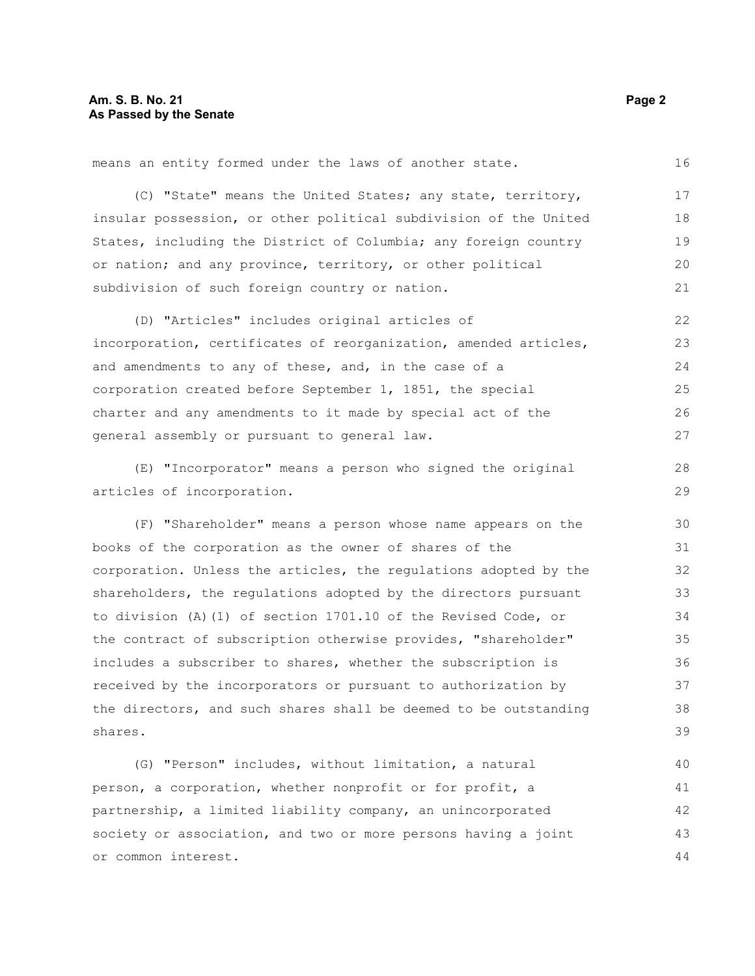means an entity formed under the laws of another state.

(C) "State" means the United States; any state, territory, insular possession, or other political subdivision of the United States, including the District of Columbia; any foreign country or nation; and any province, territory, or other political subdivision of such foreign country or nation. 17 18 19 20 21

(D) "Articles" includes original articles of incorporation, certificates of reorganization, amended articles, and amendments to any of these, and, in the case of a corporation created before September 1, 1851, the special charter and any amendments to it made by special act of the general assembly or pursuant to general law. 22 23 24 25 26 27

(E) "Incorporator" means a person who signed the original articles of incorporation.

(F) "Shareholder" means a person whose name appears on the books of the corporation as the owner of shares of the corporation. Unless the articles, the regulations adopted by the shareholders, the regulations adopted by the directors pursuant to division (A)(1) of section 1701.10 of the Revised Code, or the contract of subscription otherwise provides, "shareholder" includes a subscriber to shares, whether the subscription is received by the incorporators or pursuant to authorization by the directors, and such shares shall be deemed to be outstanding shares. 30 31 32 33 34 35 36 37 38 39

(G) "Person" includes, without limitation, a natural person, a corporation, whether nonprofit or for profit, a partnership, a limited liability company, an unincorporated society or association, and two or more persons having a joint or common interest. 40 41 42 43 44

16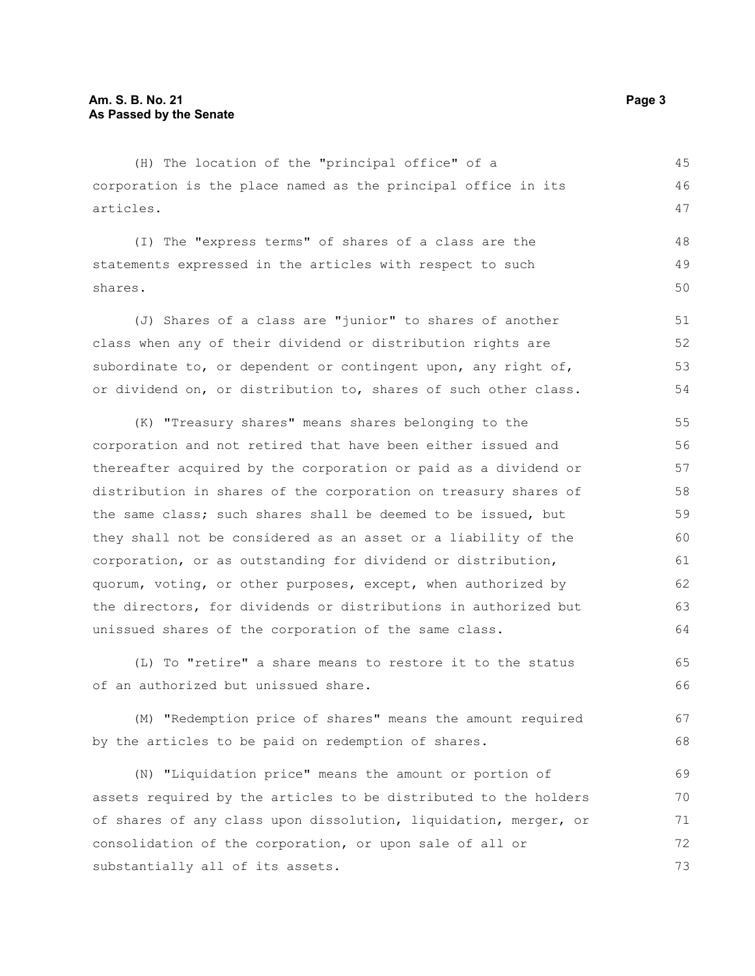(H) The location of the "principal office" of a corporation is the place named as the principal office in its articles.

(I) The "express terms" of shares of a class are the statements expressed in the articles with respect to such shares. 48 49 50

(J) Shares of a class are "junior" to shares of another class when any of their dividend or distribution rights are subordinate to, or dependent or contingent upon, any right of, or dividend on, or distribution to, shares of such other class. 51 52 53 54

(K) "Treasury shares" means shares belonging to the corporation and not retired that have been either issued and thereafter acquired by the corporation or paid as a dividend or distribution in shares of the corporation on treasury shares of the same class; such shares shall be deemed to be issued, but they shall not be considered as an asset or a liability of the corporation, or as outstanding for dividend or distribution, quorum, voting, or other purposes, except, when authorized by the directors, for dividends or distributions in authorized but unissued shares of the corporation of the same class. 55 56 57 58 59 60 61 62 63 64

(L) To "retire" a share means to restore it to the status of an authorized but unissued share. 65 66

(M) "Redemption price of shares" means the amount required by the articles to be paid on redemption of shares. 67 68

(N) "Liquidation price" means the amount or portion of assets required by the articles to be distributed to the holders of shares of any class upon dissolution, liquidation, merger, or consolidation of the corporation, or upon sale of all or substantially all of its assets. 69 70 71 72 73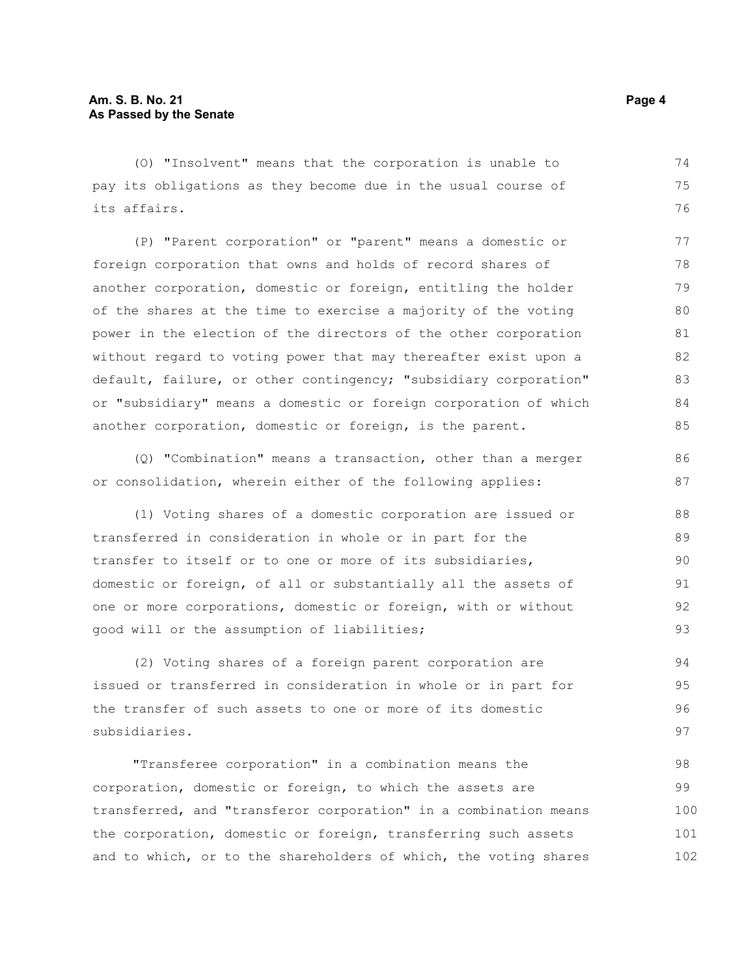(O) "Insolvent" means that the corporation is unable to pay its obligations as they become due in the usual course of its affairs. 74 75 76

(P) "Parent corporation" or "parent" means a domestic or foreign corporation that owns and holds of record shares of another corporation, domestic or foreign, entitling the holder of the shares at the time to exercise a majority of the voting power in the election of the directors of the other corporation without regard to voting power that may thereafter exist upon a default, failure, or other contingency; "subsidiary corporation" or "subsidiary" means a domestic or foreign corporation of which another corporation, domestic or foreign, is the parent. 77 78 79 80 81 82 83 84 85

(Q) "Combination" means a transaction, other than a merger or consolidation, wherein either of the following applies:

(1) Voting shares of a domestic corporation are issued or transferred in consideration in whole or in part for the transfer to itself or to one or more of its subsidiaries, domestic or foreign, of all or substantially all the assets of one or more corporations, domestic or foreign, with or without good will or the assumption of liabilities; 88 89 90 91 92 93

(2) Voting shares of a foreign parent corporation are issued or transferred in consideration in whole or in part for the transfer of such assets to one or more of its domestic subsidiaries. 94 95 96 97

"Transferee corporation" in a combination means the corporation, domestic or foreign, to which the assets are transferred, and "transferor corporation" in a combination means the corporation, domestic or foreign, transferring such assets and to which, or to the shareholders of which, the voting shares 98 99 100 101 102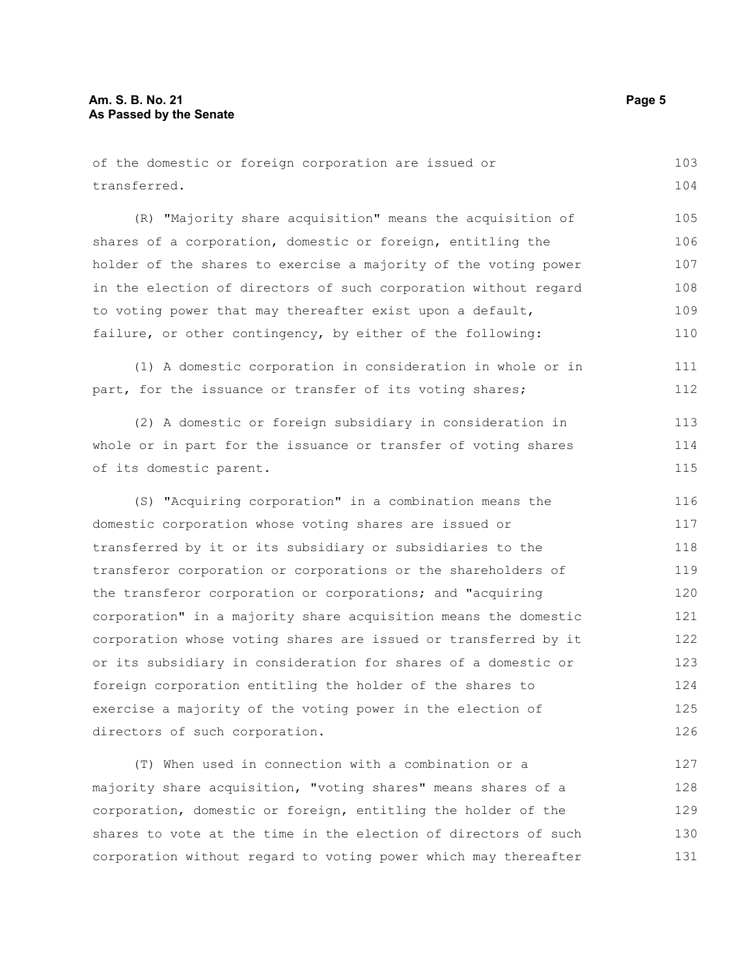| of the domestic or foreign corporation are issued or            | 103 |
|-----------------------------------------------------------------|-----|
| transferred.                                                    | 104 |
| (R) "Majority share acquisition" means the acquisition of       | 105 |
| shares of a corporation, domestic or foreign, entitling the     | 106 |
| holder of the shares to exercise a majority of the voting power | 107 |
| in the election of directors of such corporation without regard | 108 |
| to voting power that may thereafter exist upon a default,       | 109 |
| failure, or other contingency, by either of the following:      | 110 |
| (1) A domestic corporation in consideration in whole or in      | 111 |
| part, for the issuance or transfer of its voting shares;        | 112 |
| (2) A domestic or foreign subsidiary in consideration in        | 113 |
| whole or in part for the issuance or transfer of voting shares  | 114 |
| of its domestic parent.                                         | 115 |
| (S) "Acquiring corporation" in a combination means the          | 116 |
| domestic corporation whose voting shares are issued or          | 117 |
| transferred by it or its subsidiary or subsidiaries to the      | 118 |
| transferor corporation or corporations or the shareholders of   | 119 |
| the transferor corporation or corporations; and "acquiring      | 120 |
| corporation" in a majority share acquisition means the domestic | 121 |
| corporation whose voting shares are issued or transferred by it | 122 |
| or its subsidiary in consideration for shares of a domestic or  | 123 |
| foreign corporation entitling the holder of the shares to       | 124 |
| exercise a majority of the voting power in the election of      | 125 |
| directors of such corporation.                                  | 126 |
| (T) When used in connection with a combination or a             | 127 |
| majority share acquisition, "voting shares" means shares of a   | 128 |
| corporation, domestic or foreign, entitling the holder of the   | 129 |
| shares to vote at the time in the election of directors of such | 130 |

corporation without regard to voting power which may thereafter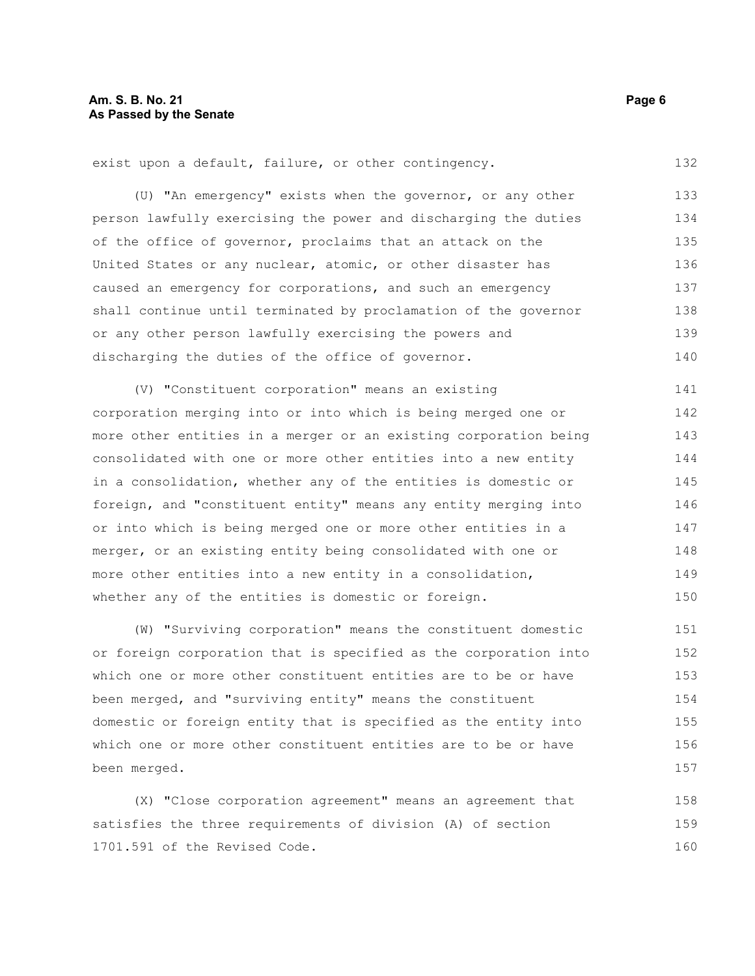exist upon a default, failure, or other contingency.

(U) "An emergency" exists when the governor, or any other person lawfully exercising the power and discharging the duties of the office of governor, proclaims that an attack on the United States or any nuclear, atomic, or other disaster has caused an emergency for corporations, and such an emergency shall continue until terminated by proclamation of the governor or any other person lawfully exercising the powers and discharging the duties of the office of governor. 133 134 135 136 137 138 139 140

(V) "Constituent corporation" means an existing corporation merging into or into which is being merged one or more other entities in a merger or an existing corporation being consolidated with one or more other entities into a new entity in a consolidation, whether any of the entities is domestic or foreign, and "constituent entity" means any entity merging into or into which is being merged one or more other entities in a merger, or an existing entity being consolidated with one or more other entities into a new entity in a consolidation, whether any of the entities is domestic or foreign. 141 142 143 144 145 146 147 148 149 150

(W) "Surviving corporation" means the constituent domestic or foreign corporation that is specified as the corporation into which one or more other constituent entities are to be or have been merged, and "surviving entity" means the constituent domestic or foreign entity that is specified as the entity into which one or more other constituent entities are to be or have been merged. 151 152 153 154 155 156 157

(X) "Close corporation agreement" means an agreement that satisfies the three requirements of division (A) of section 1701.591 of the Revised Code. 158 159 160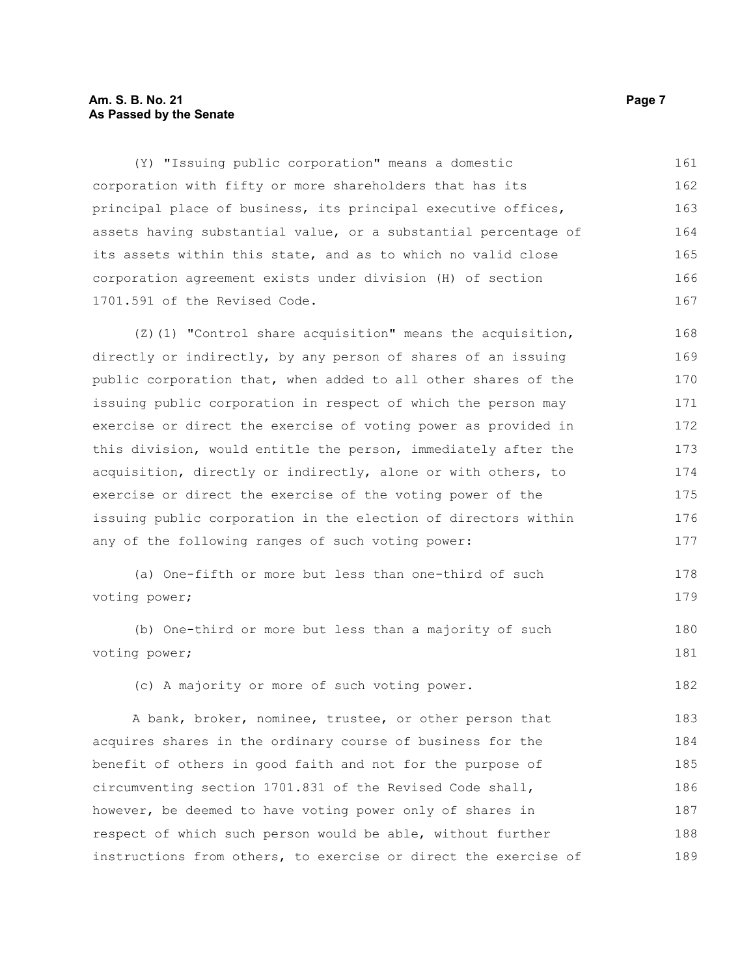# **Am. S. B. No. 21 Page 7 As Passed by the Senate**

(Y) "Issuing public corporation" means a domestic corporation with fifty or more shareholders that has its principal place of business, its principal executive offices, assets having substantial value, or a substantial percentage of its assets within this state, and as to which no valid close corporation agreement exists under division (H) of section 1701.591 of the Revised Code. 161 162 163 164 165 166 167

(Z)(1) "Control share acquisition" means the acquisition, directly or indirectly, by any person of shares of an issuing public corporation that, when added to all other shares of the issuing public corporation in respect of which the person may exercise or direct the exercise of voting power as provided in this division, would entitle the person, immediately after the acquisition, directly or indirectly, alone or with others, to exercise or direct the exercise of the voting power of the issuing public corporation in the election of directors within any of the following ranges of such voting power: 168 169 170 171 172 173 174 175 176 177

```
(a) One-fifth or more but less than one-third of such
voting power;
                                                                             178
                                                                             179
```
(b) One-third or more but less than a majority of such voting power;

(c) A majority or more of such voting power.

A bank, broker, nominee, trustee, or other person that acquires shares in the ordinary course of business for the benefit of others in good faith and not for the purpose of circumventing section 1701.831 of the Revised Code shall, however, be deemed to have voting power only of shares in respect of which such person would be able, without further instructions from others, to exercise or direct the exercise of 183 184 185 186 187 188 189

180 181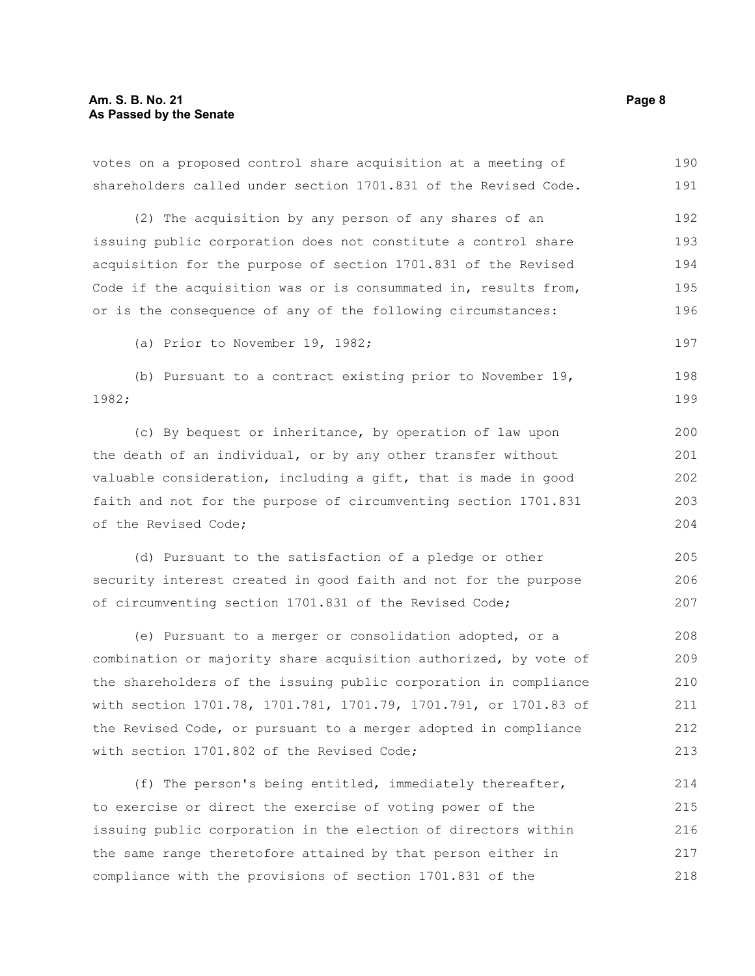votes on a proposed control share acquisition at a meeting of shareholders called under section 1701.831 of the Revised Code. 190 191

(2) The acquisition by any person of any shares of an issuing public corporation does not constitute a control share acquisition for the purpose of section 1701.831 of the Revised Code if the acquisition was or is consummated in, results from, or is the consequence of any of the following circumstances: 192 193 194 195 196

(a) Prior to November 19, 1982;

(b) Pursuant to a contract existing prior to November 19, 1982; 198 199

(c) By bequest or inheritance, by operation of law upon the death of an individual, or by any other transfer without valuable consideration, including a gift, that is made in good faith and not for the purpose of circumventing section 1701.831 of the Revised Code; 200 201 202 203 204

(d) Pursuant to the satisfaction of a pledge or other security interest created in good faith and not for the purpose of circumventing section 1701.831 of the Revised Code;

(e) Pursuant to a merger or consolidation adopted, or a combination or majority share acquisition authorized, by vote of the shareholders of the issuing public corporation in compliance with section 1701.78, 1701.781, 1701.79, 1701.791, or 1701.83 of the Revised Code, or pursuant to a merger adopted in compliance with section 1701.802 of the Revised Code; 208 209 210 211 212 213

(f) The person's being entitled, immediately thereafter, to exercise or direct the exercise of voting power of the issuing public corporation in the election of directors within the same range theretofore attained by that person either in compliance with the provisions of section 1701.831 of the 214 215 216 217 218

197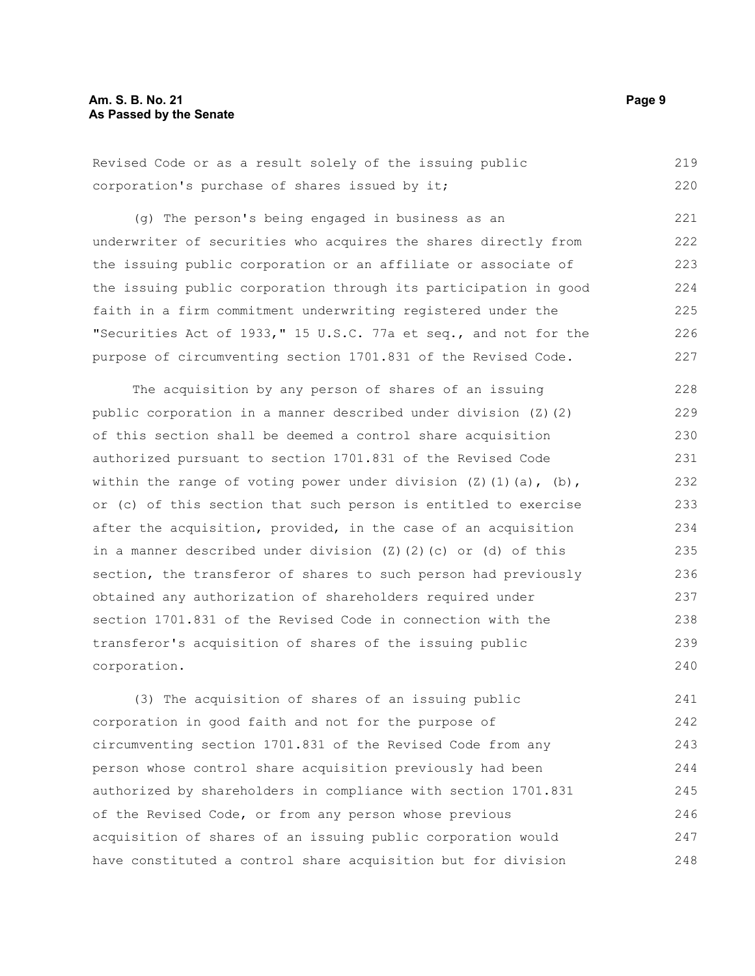| Revised Code or as a result solely of the issuing public |  |  |  |  |  |  | 219 |
|----------------------------------------------------------|--|--|--|--|--|--|-----|
| corporation's purchase of shares issued by it;           |  |  |  |  |  |  | 220 |

(g) The person's being engaged in business as an underwriter of securities who acquires the shares directly from the issuing public corporation or an affiliate or associate of the issuing public corporation through its participation in good faith in a firm commitment underwriting registered under the "Securities Act of 1933," 15 U.S.C. 77a et seq., and not for the purpose of circumventing section 1701.831 of the Revised Code. 221 222 223 224 225 226 227

The acquisition by any person of shares of an issuing public corporation in a manner described under division (Z)(2) of this section shall be deemed a control share acquisition authorized pursuant to section 1701.831 of the Revised Code within the range of voting power under division  $(Z)$  (1)(a), (b), or (c) of this section that such person is entitled to exercise after the acquisition, provided, in the case of an acquisition in a manner described under division (Z)(2)(c) or (d) of this section, the transferor of shares to such person had previously obtained any authorization of shareholders required under section 1701.831 of the Revised Code in connection with the transferor's acquisition of shares of the issuing public corporation. 228 229 230 231 232 233 234 235 236 237 238 239 240

(3) The acquisition of shares of an issuing public corporation in good faith and not for the purpose of circumventing section 1701.831 of the Revised Code from any person whose control share acquisition previously had been authorized by shareholders in compliance with section 1701.831 of the Revised Code, or from any person whose previous acquisition of shares of an issuing public corporation would have constituted a control share acquisition but for division 241 242 243 244 245 246 247 248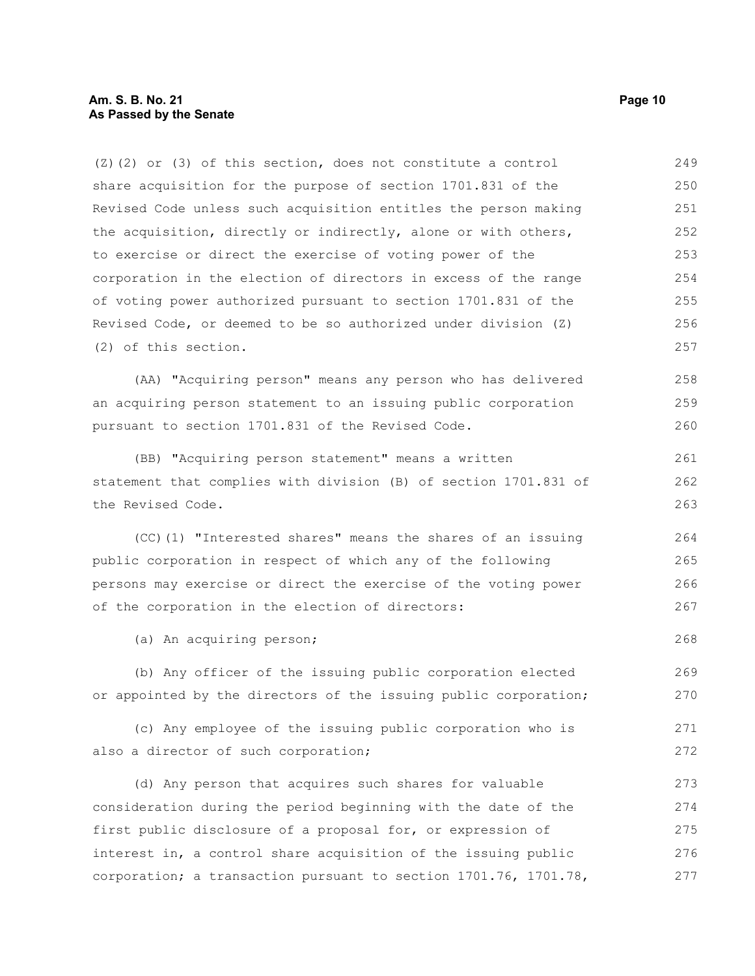(Z)(2) or (3) of this section, does not constitute a control share acquisition for the purpose of section 1701.831 of the Revised Code unless such acquisition entitles the person making the acquisition, directly or indirectly, alone or with others, to exercise or direct the exercise of voting power of the corporation in the election of directors in excess of the range of voting power authorized pursuant to section 1701.831 of the Revised Code, or deemed to be so authorized under division (Z) (2) of this section. 249 250 251 252 253 254 255 256 257

(AA) "Acquiring person" means any person who has delivered an acquiring person statement to an issuing public corporation pursuant to section 1701.831 of the Revised Code. 258 259 260

(BB) "Acquiring person statement" means a written statement that complies with division (B) of section 1701.831 of the Revised Code.

(CC)(1) "Interested shares" means the shares of an issuing public corporation in respect of which any of the following persons may exercise or direct the exercise of the voting power of the corporation in the election of directors:

(a) An acquiring person;

(b) Any officer of the issuing public corporation elected or appointed by the directors of the issuing public corporation; 269 270

(c) Any employee of the issuing public corporation who is also a director of such corporation; 271 272

(d) Any person that acquires such shares for valuable consideration during the period beginning with the date of the first public disclosure of a proposal for, or expression of interest in, a control share acquisition of the issuing public corporation; a transaction pursuant to section 1701.76, 1701.78, 273 274 275 276 277

261 262 263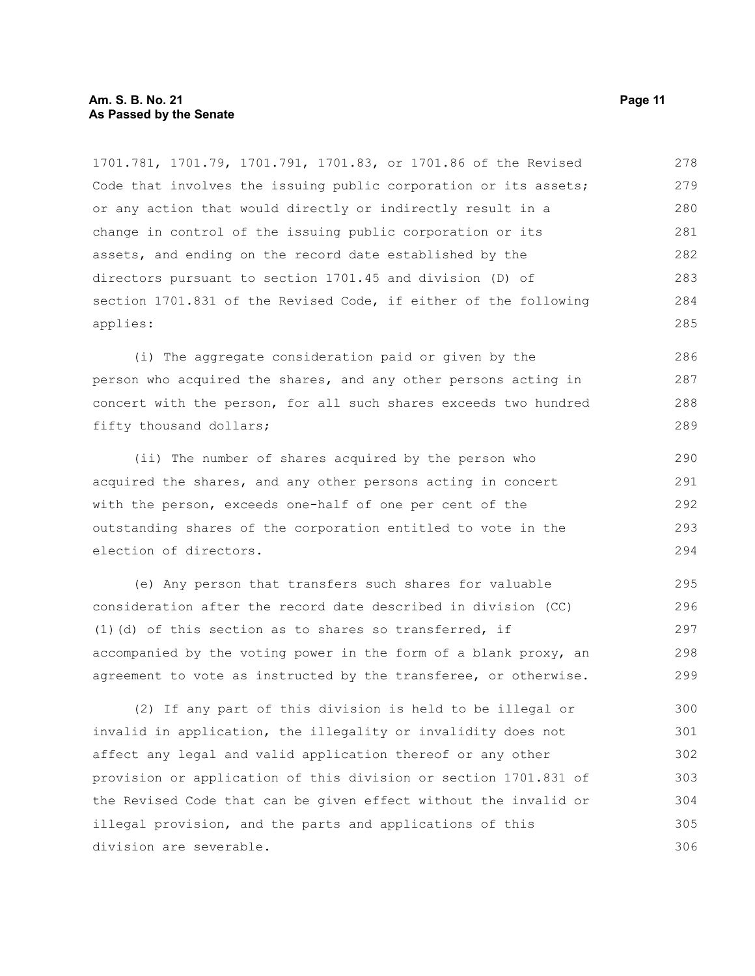## **Am. S. B. No. 21 Page 11 As Passed by the Senate**

1701.781, 1701.79, 1701.791, 1701.83, or 1701.86 of the Revised Code that involves the issuing public corporation or its assets; or any action that would directly or indirectly result in a change in control of the issuing public corporation or its assets, and ending on the record date established by the directors pursuant to section 1701.45 and division (D) of section 1701.831 of the Revised Code, if either of the following applies: 278 279 280 281 282 283 284 285

(i) The aggregate consideration paid or given by the person who acquired the shares, and any other persons acting in concert with the person, for all such shares exceeds two hundred fifty thousand dollars; 286 287 288 289

(ii) The number of shares acquired by the person who acquired the shares, and any other persons acting in concert with the person, exceeds one-half of one per cent of the outstanding shares of the corporation entitled to vote in the election of directors. 290

(e) Any person that transfers such shares for valuable consideration after the record date described in division (CC) (1)(d) of this section as to shares so transferred, if accompanied by the voting power in the form of a blank proxy, an agreement to vote as instructed by the transferee, or otherwise. 295 296 297 298 299

(2) If any part of this division is held to be illegal or invalid in application, the illegality or invalidity does not affect any legal and valid application thereof or any other provision or application of this division or section 1701.831 of the Revised Code that can be given effect without the invalid or illegal provision, and the parts and applications of this division are severable. 300 301 302 303 304 305 306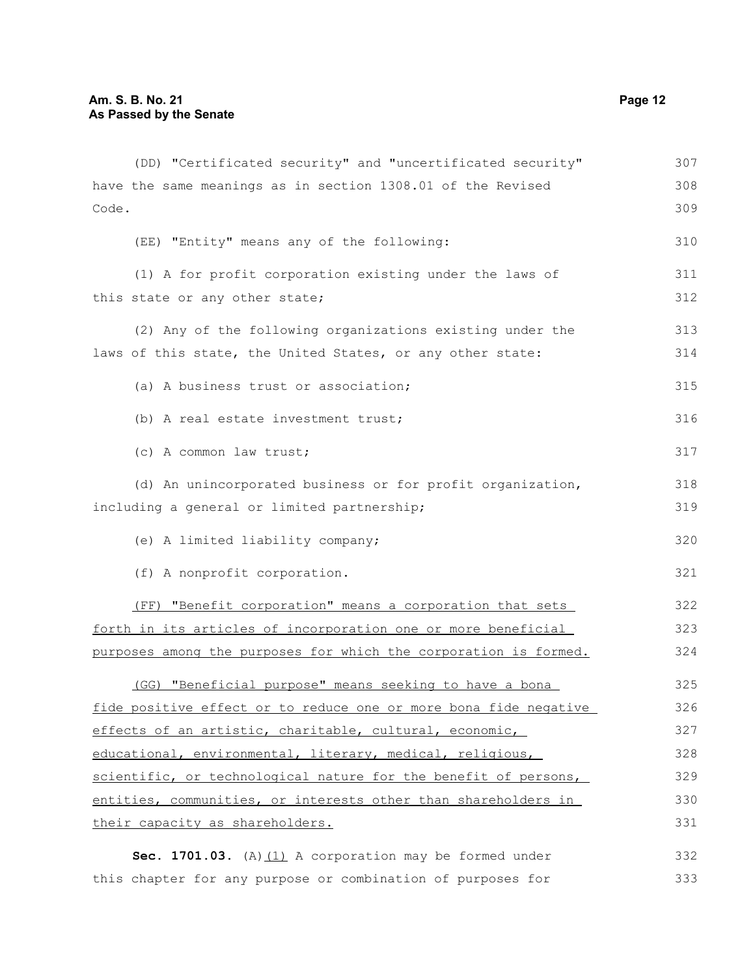| (DD) "Certificated security" and "uncertificated security"       | 307 |
|------------------------------------------------------------------|-----|
| have the same meanings as in section 1308.01 of the Revised      | 308 |
| Code.                                                            | 309 |
| (EE) "Entity" means any of the following:                        | 310 |
| (1) A for profit corporation existing under the laws of          | 311 |
| this state or any other state;                                   | 312 |
| (2) Any of the following organizations existing under the        | 313 |
| laws of this state, the United States, or any other state:       | 314 |
| (a) A business trust or association;                             | 315 |
| (b) A real estate investment trust;                              | 316 |
| (c) A common law trust;                                          | 317 |
| (d) An unincorporated business or for profit organization,       | 318 |
| including a general or limited partnership;                      | 319 |
| (e) A limited liability company;                                 | 320 |
| (f) A nonprofit corporation.                                     | 321 |
| (FF) "Benefit corporation" means a corporation that sets         | 322 |
| forth in its articles of incorporation one or more beneficial    | 323 |
| purposes among the purposes for which the corporation is formed. | 324 |
| (GG) "Beneficial purpose" means seeking to have a bona           | 325 |
| fide positive effect or to reduce one or more bona fide negative | 326 |
| effects of an artistic, charitable, cultural, economic,          | 327 |
| educational, environmental, literary, medical, religious,        | 328 |
| scientific, or technological nature for the benefit of persons,  | 329 |
| entities, communities, or interests other than shareholders in   | 330 |
| their capacity as shareholders.                                  | 331 |
| Sec. 1701.03. (A) $(1)$ A corporation may be formed under        | 332 |
| this chapter for any purpose or combination of purposes for      | 333 |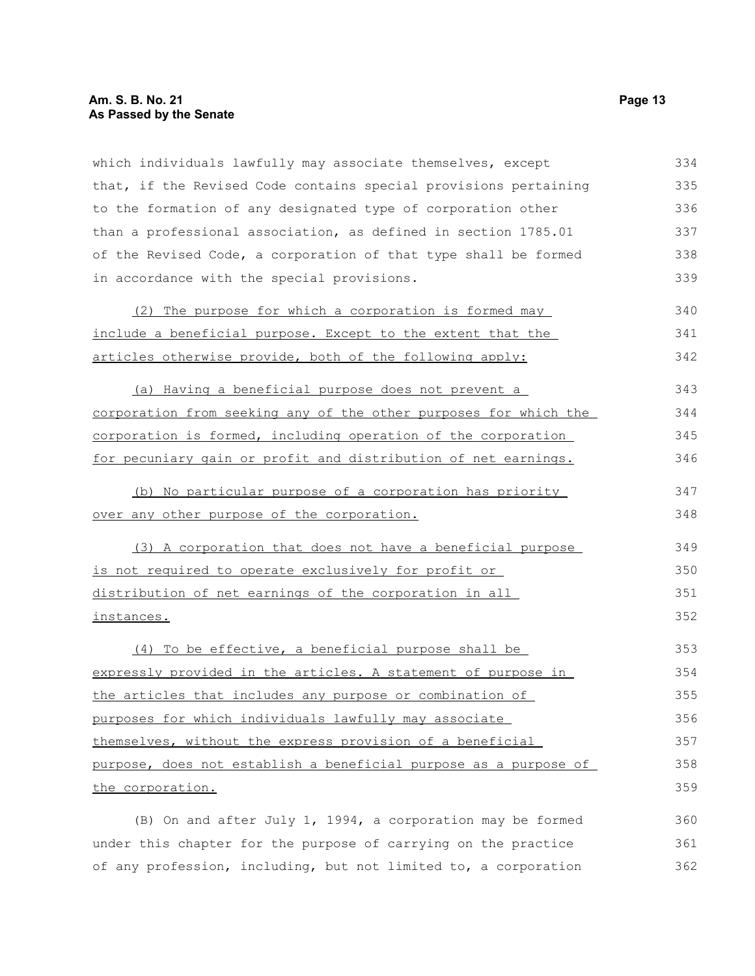# **Am. S. B. No. 21 Page 13 As Passed by the Senate**

which individuals lawfully may associate themselves, except that, if the Revised Code contains special provisions pertaining to the formation of any designated type of corporation other than a professional association, as defined in section 1785.01 of the Revised Code, a corporation of that type shall be formed in accordance with the special provisions. 334 335 336 337 338 339

| (2) The purpose for which a corporation is formed may       | 340 |
|-------------------------------------------------------------|-----|
| include a beneficial purpose. Except to the extent that the | 341 |
| articles otherwise provide, both of the following apply:    | 342 |

(a) Having a beneficial purpose does not prevent a corporation from seeking any of the other purposes for which the corporation is formed, including operation of the corporation for pecuniary gain or profit and distribution of net earnings. 343 344 345 346

(b) No particular purpose of a corporation has priority over any other purpose of the corporation.

(3) A corporation that does not have a beneficial purpose is not required to operate exclusively for profit or distribution of net earnings of the corporation in all instances. 349 350 351 352

(4) To be effective, a beneficial purpose shall be expressly provided in the articles. A statement of purpose in the articles that includes any purpose or combination of purposes for which individuals lawfully may associate themselves, without the express provision of a beneficial purpose, does not establish a beneficial purpose as a purpose of the corporation. 353 354 355 356 357 358 359

(B) On and after July 1, 1994, a corporation may be formed under this chapter for the purpose of carrying on the practice of any profession, including, but not limited to, a corporation 360 361 362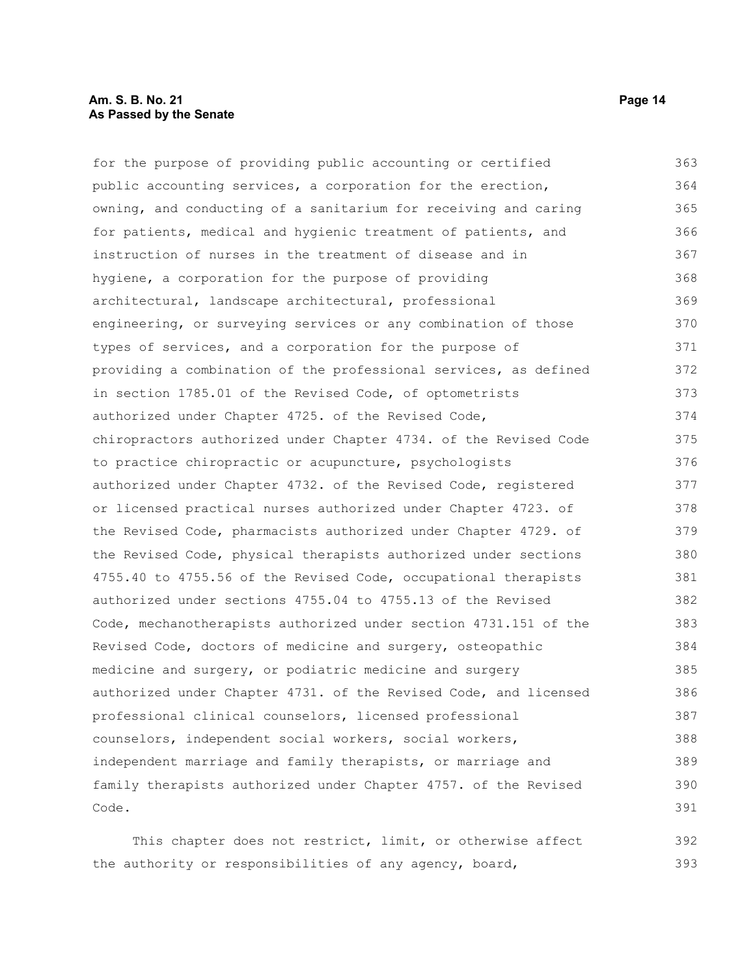for the purpose of providing public accounting or certified public accounting services, a corporation for the erection, owning, and conducting of a sanitarium for receiving and caring for patients, medical and hygienic treatment of patients, and instruction of nurses in the treatment of disease and in hygiene, a corporation for the purpose of providing architectural, landscape architectural, professional engineering, or surveying services or any combination of those types of services, and a corporation for the purpose of providing a combination of the professional services, as defined in section 1785.01 of the Revised Code, of optometrists authorized under Chapter 4725. of the Revised Code, chiropractors authorized under Chapter 4734. of the Revised Code to practice chiropractic or acupuncture, psychologists authorized under Chapter 4732. of the Revised Code, registered or licensed practical nurses authorized under Chapter 4723. of the Revised Code, pharmacists authorized under Chapter 4729. of the Revised Code, physical therapists authorized under sections 4755.40 to 4755.56 of the Revised Code, occupational therapists authorized under sections 4755.04 to 4755.13 of the Revised Code, mechanotherapists authorized under section 4731.151 of the Revised Code, doctors of medicine and surgery, osteopathic medicine and surgery, or podiatric medicine and surgery authorized under Chapter 4731. of the Revised Code, and licensed professional clinical counselors, licensed professional counselors, independent social workers, social workers, independent marriage and family therapists, or marriage and family therapists authorized under Chapter 4757. of the Revised Code. 363 364 365 366 367 368 369 370 371 372 373 374 375 376 377 378 379 380 381 382 383 384 385 386 387 388 389 390 391

This chapter does not restrict, limit, or otherwise affect the authority or responsibilities of any agency, board, 392 393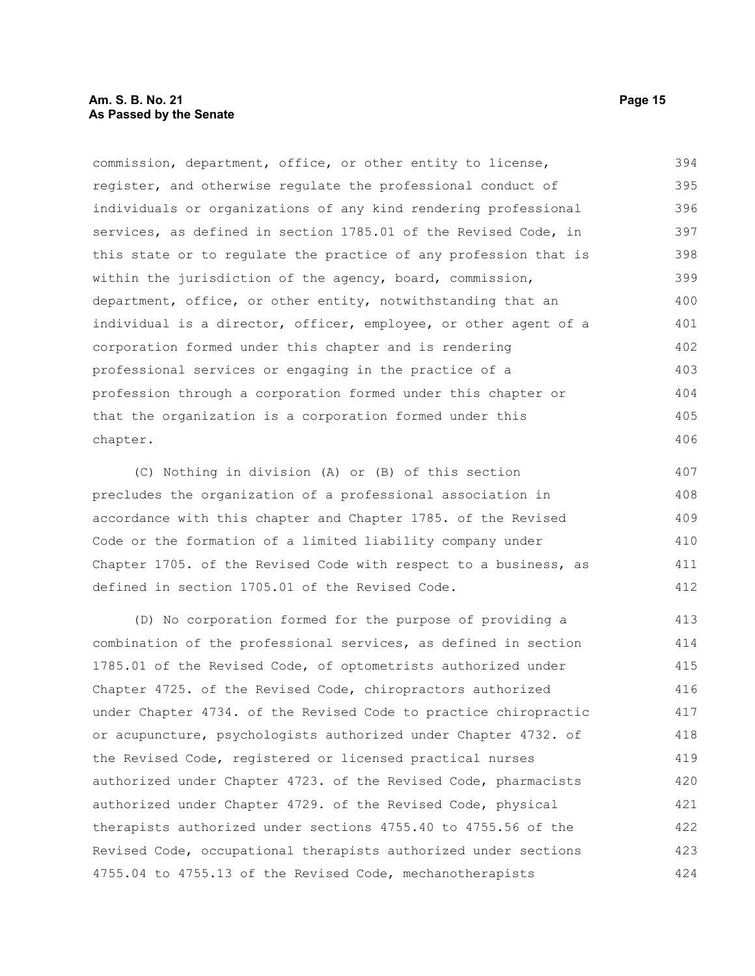commission, department, office, or other entity to license, register, and otherwise regulate the professional conduct of individuals or organizations of any kind rendering professional services, as defined in section 1785.01 of the Revised Code, in this state or to regulate the practice of any profession that is within the jurisdiction of the agency, board, commission, department, office, or other entity, notwithstanding that an individual is a director, officer, employee, or other agent of a corporation formed under this chapter and is rendering professional services or engaging in the practice of a profession through a corporation formed under this chapter or that the organization is a corporation formed under this chapter. 394 395 396 397 398 399 400 401 402 403 404 405 406

(C) Nothing in division (A) or (B) of this section precludes the organization of a professional association in accordance with this chapter and Chapter 1785. of the Revised Code or the formation of a limited liability company under Chapter 1705. of the Revised Code with respect to a business, as defined in section 1705.01 of the Revised Code. 407 408 409 410 411 412

(D) No corporation formed for the purpose of providing a combination of the professional services, as defined in section 1785.01 of the Revised Code, of optometrists authorized under Chapter 4725. of the Revised Code, chiropractors authorized under Chapter 4734. of the Revised Code to practice chiropractic or acupuncture, psychologists authorized under Chapter 4732. of the Revised Code, registered or licensed practical nurses authorized under Chapter 4723. of the Revised Code, pharmacists authorized under Chapter 4729. of the Revised Code, physical therapists authorized under sections 4755.40 to 4755.56 of the Revised Code, occupational therapists authorized under sections 4755.04 to 4755.13 of the Revised Code, mechanotherapists 413 414 415 416 417 418 419 420 421 422 423 424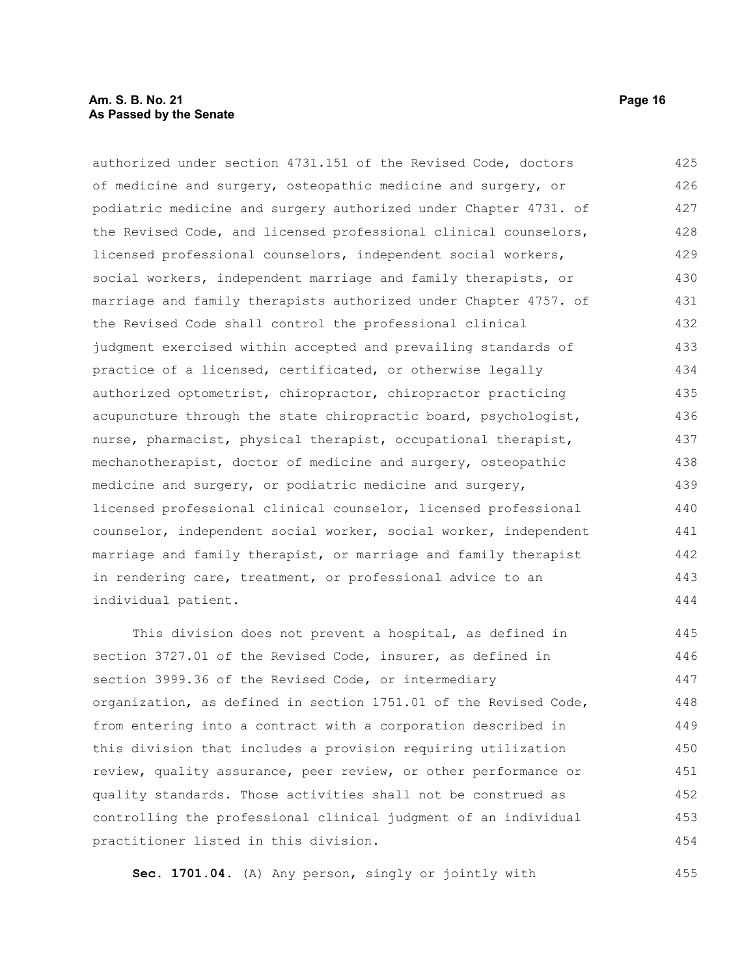# **Am. S. B. No. 21 Page 16 As Passed by the Senate**

authorized under section 4731.151 of the Revised Code, doctors of medicine and surgery, osteopathic medicine and surgery, or podiatric medicine and surgery authorized under Chapter 4731. of the Revised Code, and licensed professional clinical counselors, licensed professional counselors, independent social workers, social workers, independent marriage and family therapists, or marriage and family therapists authorized under Chapter 4757. of the Revised Code shall control the professional clinical judgment exercised within accepted and prevailing standards of practice of a licensed, certificated, or otherwise legally authorized optometrist, chiropractor, chiropractor practicing acupuncture through the state chiropractic board, psychologist, nurse, pharmacist, physical therapist, occupational therapist, mechanotherapist, doctor of medicine and surgery, osteopathic medicine and surgery, or podiatric medicine and surgery, licensed professional clinical counselor, licensed professional counselor, independent social worker, social worker, independent marriage and family therapist, or marriage and family therapist in rendering care, treatment, or professional advice to an individual patient. 425 426 427 428 429 430 431 432 433 434 435 436 437 438 439 440 441 442 443 444

This division does not prevent a hospital, as defined in section 3727.01 of the Revised Code, insurer, as defined in section 3999.36 of the Revised Code, or intermediary organization, as defined in section 1751.01 of the Revised Code, from entering into a contract with a corporation described in this division that includes a provision requiring utilization review, quality assurance, peer review, or other performance or quality standards. Those activities shall not be construed as controlling the professional clinical judgment of an individual practitioner listed in this division. 445 446 447 448 449 450 451 452 453 454

**Sec. 1701.04.** (A) Any person, singly or jointly with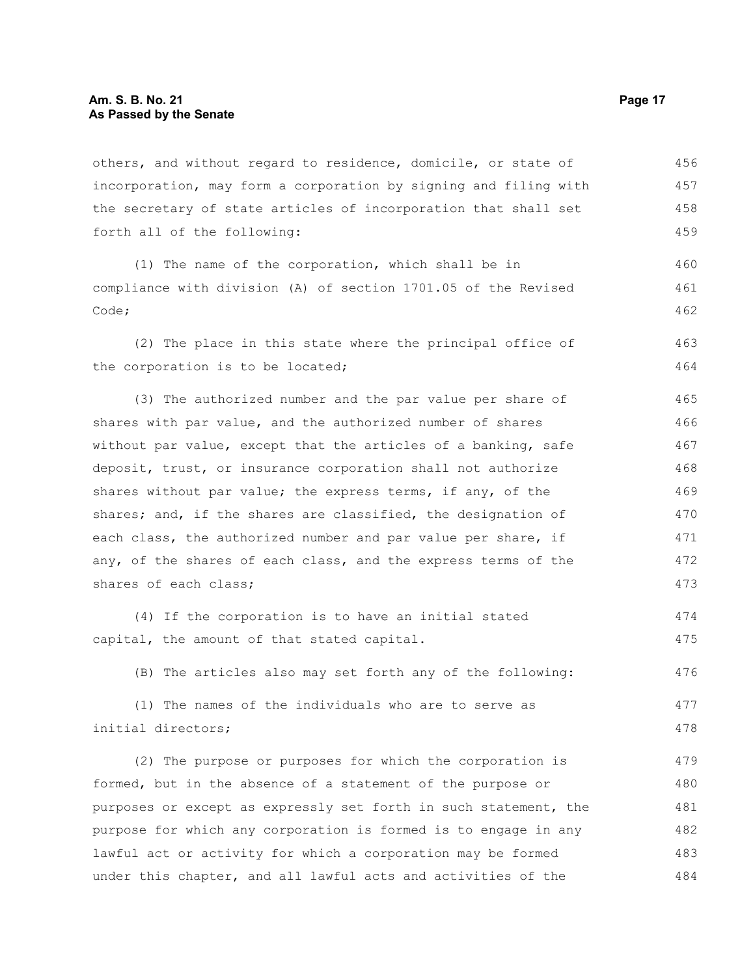others, and without regard to residence, domicile, or state of incorporation, may form a corporation by signing and filing with the secretary of state articles of incorporation that shall set forth all of the following: 456 457 458 459

(1) The name of the corporation, which shall be in compliance with division (A) of section 1701.05 of the Revised Code;

(2) The place in this state where the principal office of the corporation is to be located; 463 464

(3) The authorized number and the par value per share of shares with par value, and the authorized number of shares without par value, except that the articles of a banking, safe deposit, trust, or insurance corporation shall not authorize shares without par value; the express terms, if any, of the shares; and, if the shares are classified, the designation of each class, the authorized number and par value per share, if any, of the shares of each class, and the express terms of the shares of each class; 465 466 467 468 469 470 471 472 473

(4) If the corporation is to have an initial stated capital, the amount of that stated capital. 474 475

(B) The articles also may set forth any of the following: 476

(1) The names of the individuals who are to serve as initial directors; 477 478

(2) The purpose or purposes for which the corporation is formed, but in the absence of a statement of the purpose or purposes or except as expressly set forth in such statement, the purpose for which any corporation is formed is to engage in any lawful act or activity for which a corporation may be formed under this chapter, and all lawful acts and activities of the 479 480 481 482 483 484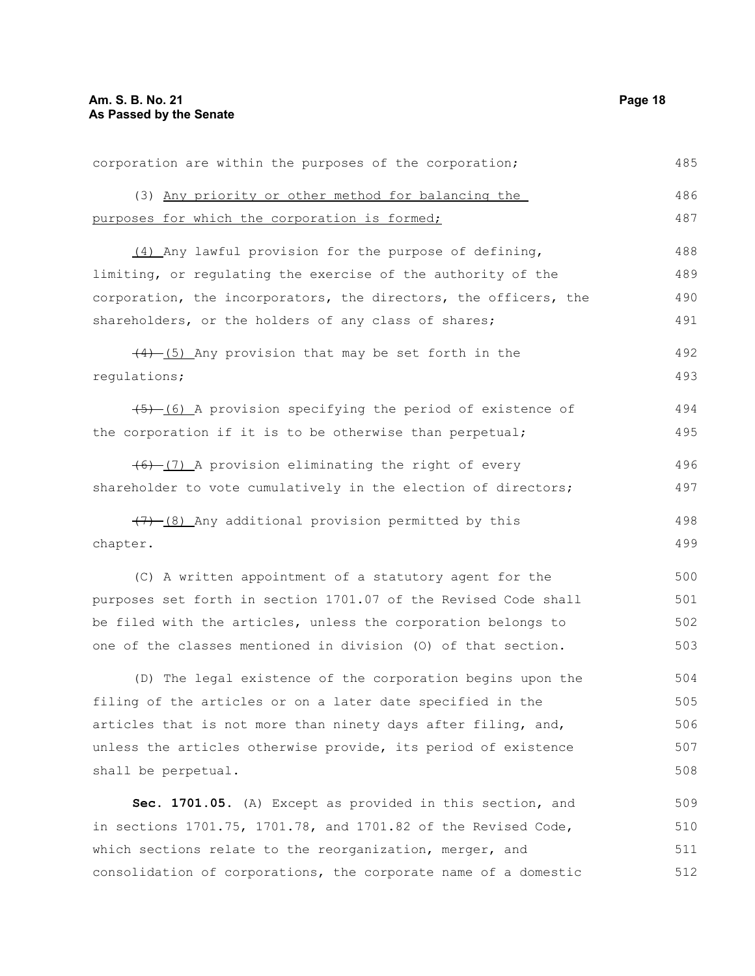| corporation are within the purposes of the corporation;          | 485 |
|------------------------------------------------------------------|-----|
| (3) Any priority or other method for balancing the               | 486 |
| purposes for which the corporation is formed;                    | 487 |
| (4) Any lawful provision for the purpose of defining,            | 488 |
| limiting, or regulating the exercise of the authority of the     | 489 |
| corporation, the incorporators, the directors, the officers, the | 490 |
| shareholders, or the holders of any class of shares;             | 491 |
| $\frac{(4)-(5)}{4}$ Any provision that may be set forth in the   | 492 |
| regulations;                                                     | 493 |
| $(5)$ (6) A provision specifying the period of existence of      | 494 |
| the corporation if it is to be otherwise than perpetual;         | 495 |
| $(6)$ (7) A provision eliminating the right of every             | 496 |
| shareholder to vote cumulatively in the election of directors;   | 497 |
| $(7)$ (8) Any additional provision permitted by this             | 498 |
| chapter.                                                         | 499 |
| (C) A written appointment of a statutory agent for the           | 500 |
| purposes set forth in section 1701.07 of the Revised Code shall  | 501 |
| be filed with the articles, unless the corporation belongs to    | 502 |
| one of the classes mentioned in division (0) of that section.    | 503 |
| (D) The legal existence of the corporation begins upon the       | 504 |
| filing of the articles or on a later date specified in the       | 505 |
| articles that is not more than ninety days after filing, and,    | 506 |
| unless the articles otherwise provide, its period of existence   | 507 |
| shall be perpetual.                                              | 508 |
| Sec. 1701.05. (A) Except as provided in this section, and        | 509 |
| in sections 1701.75, 1701.78, and 1701.82 of the Revised Code,   | 510 |
| which sections relate to the reorganization, merger, and         | 511 |
| consolidation of corporations, the corporate name of a domestic  | 512 |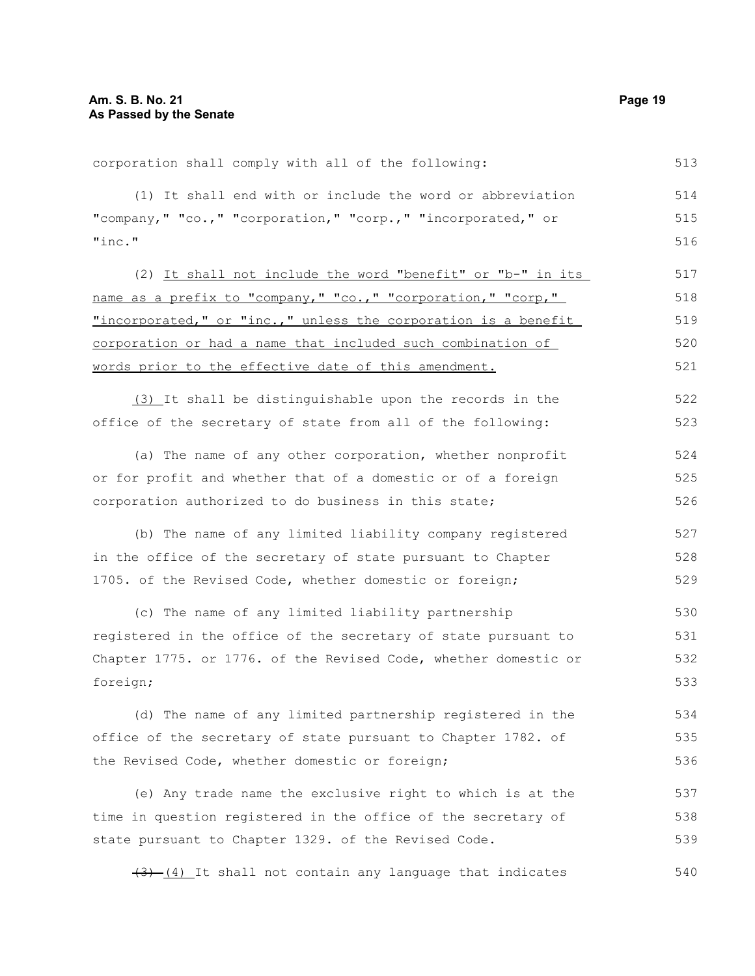corporation shall comply with all of the following: 513

(1) It shall end with or include the word or abbreviation "company," "co.," "corporation," "corp.," "incorporated," or "inc." 514 515 516

(2) It shall not include the word "benefit" or "b-" in its name as a prefix to "company," "co.," "corporation," "corp," "incorporated," or "inc.," unless the corporation is a benefit corporation or had a name that included such combination of words prior to the effective date of this amendment. 517 518 519 520 521

(3) It shall be distinguishable upon the records in the office of the secretary of state from all of the following: 522 523

(a) The name of any other corporation, whether nonprofit or for profit and whether that of a domestic or of a foreign corporation authorized to do business in this state; 524 525 526

(b) The name of any limited liability company registered in the office of the secretary of state pursuant to Chapter 1705. of the Revised Code, whether domestic or foreign; 527 528 529

(c) The name of any limited liability partnership registered in the office of the secretary of state pursuant to Chapter 1775. or 1776. of the Revised Code, whether domestic or foreign; 530 531 532 533

(d) The name of any limited partnership registered in the office of the secretary of state pursuant to Chapter 1782. of the Revised Code, whether domestic or foreign; 534 535 536

(e) Any trade name the exclusive right to which is at the time in question registered in the office of the secretary of state pursuant to Chapter 1329. of the Revised Code. 537 538 539

 $(3)$   $(4)$  It shall not contain any language that indicates 540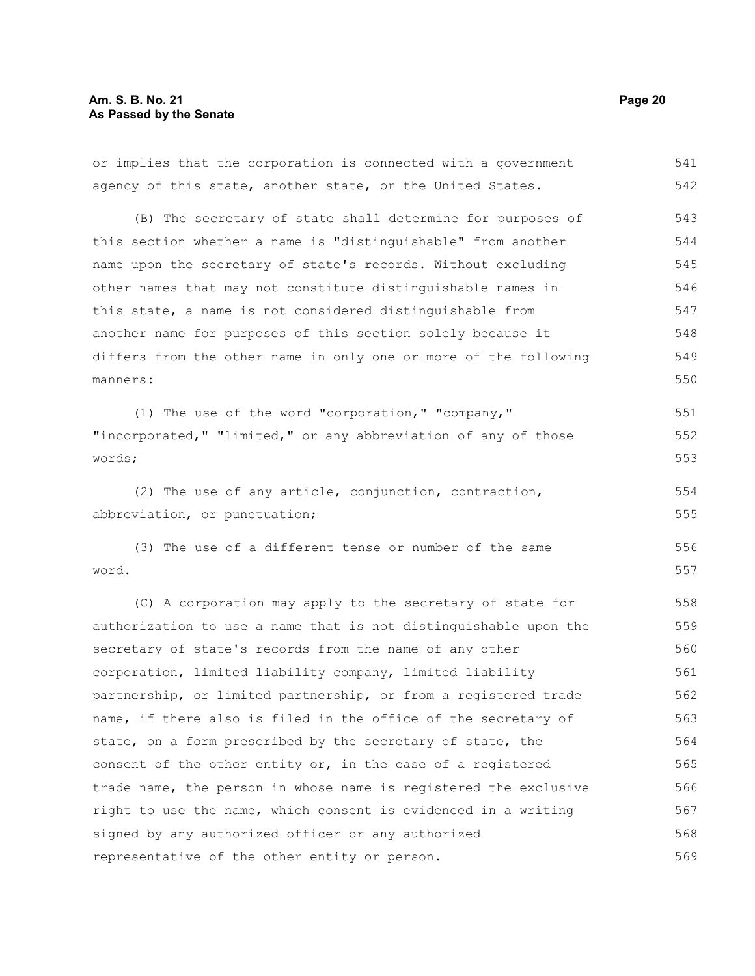# **Am. S. B. No. 21 Page 20 As Passed by the Senate**

or implies that the corporation is connected with a government agency of this state, another state, or the United States. (B) The secretary of state shall determine for purposes of this section whether a name is "distinguishable" from another name upon the secretary of state's records. Without excluding other names that may not constitute distinguishable names in this state, a name is not considered distinguishable from another name for purposes of this section solely because it differs from the other name in only one or more of the following manners: (1) The use of the word "corporation," "company," "incorporated," "limited," or any abbreviation of any of those words; (2) The use of any article, conjunction, contraction, abbreviation, or punctuation; (3) The use of a different tense or number of the same word. (C) A corporation may apply to the secretary of state for authorization to use a name that is not distinguishable upon the secretary of state's records from the name of any other corporation, limited liability company, limited liability partnership, or limited partnership, or from a registered trade name, if there also is filed in the office of the secretary of state, on a form prescribed by the secretary of state, the consent of the other entity or, in the case of a registered trade name, the person in whose name is registered the exclusive right to use the name, which consent is evidenced in a writing signed by any authorized officer or any authorized representative of the other entity or person. 541 542 543 544 545 546 547 548 549 550 551 552 553 554 555 556 557 558 559 560 561 562 563 564 565 566 567 568 569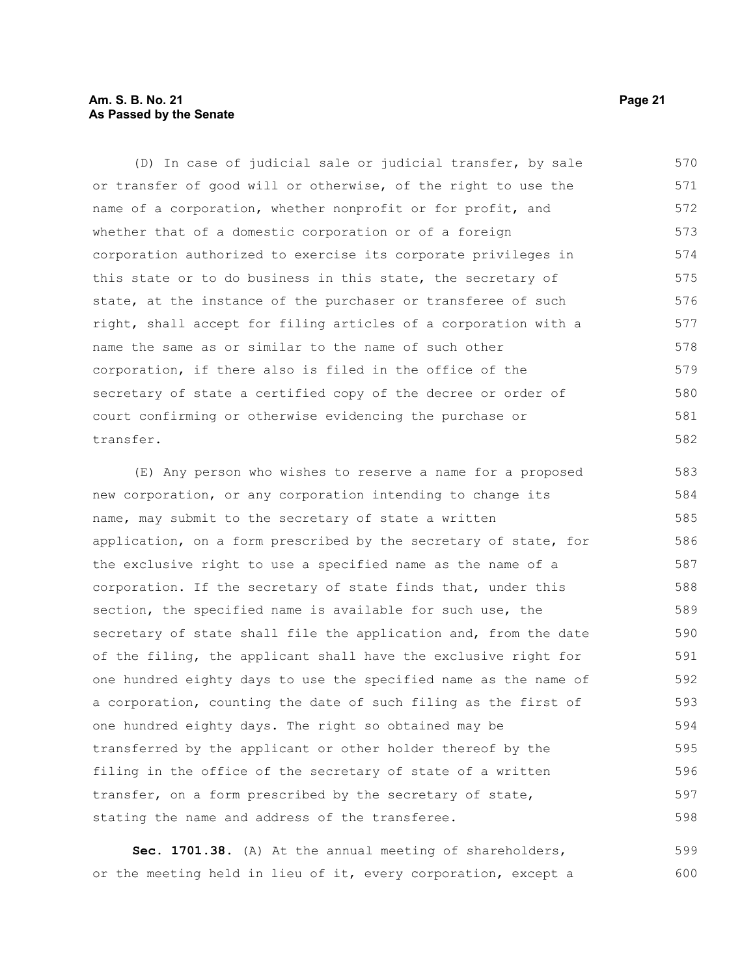# **Am. S. B. No. 21 Page 21 As Passed by the Senate**

(D) In case of judicial sale or judicial transfer, by sale or transfer of good will or otherwise, of the right to use the name of a corporation, whether nonprofit or for profit, and whether that of a domestic corporation or of a foreign corporation authorized to exercise its corporate privileges in this state or to do business in this state, the secretary of state, at the instance of the purchaser or transferee of such right, shall accept for filing articles of a corporation with a name the same as or similar to the name of such other corporation, if there also is filed in the office of the secretary of state a certified copy of the decree or order of court confirming or otherwise evidencing the purchase or transfer. 570 571 572 573 574 575 576 577 578 579 580 581 582

(E) Any person who wishes to reserve a name for a proposed new corporation, or any corporation intending to change its name, may submit to the secretary of state a written application, on a form prescribed by the secretary of state, for the exclusive right to use a specified name as the name of a corporation. If the secretary of state finds that, under this section, the specified name is available for such use, the secretary of state shall file the application and, from the date of the filing, the applicant shall have the exclusive right for one hundred eighty days to use the specified name as the name of a corporation, counting the date of such filing as the first of one hundred eighty days. The right so obtained may be transferred by the applicant or other holder thereof by the filing in the office of the secretary of state of a written transfer, on a form prescribed by the secretary of state, stating the name and address of the transferee. 583 584 585 586 587 588 589 590 591 592 593 594 595 596 597 598

**Sec. 1701.38.** (A) At the annual meeting of shareholders, or the meeting held in lieu of it, every corporation, except a 599 600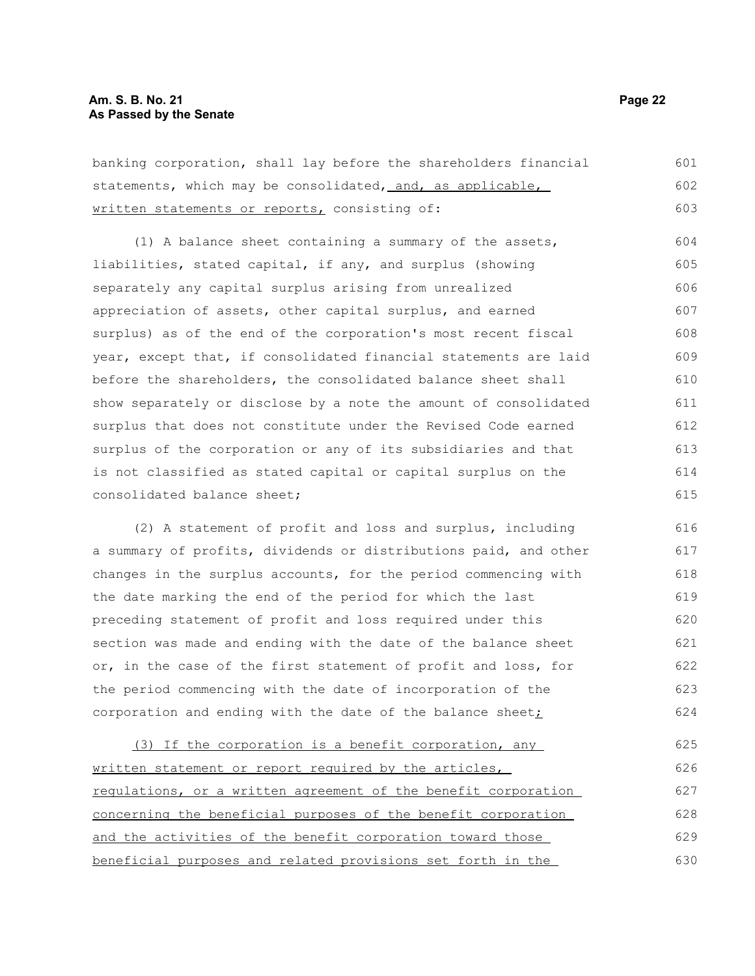| banking corporation, shall lay before the shareholders financial | 601 |
|------------------------------------------------------------------|-----|
| statements, which may be consolidated, and, as applicable,       | 602 |
| written statements or reports, consisting of:                    | 603 |

(1) A balance sheet containing a summary of the assets, liabilities, stated capital, if any, and surplus (showing separately any capital surplus arising from unrealized appreciation of assets, other capital surplus, and earned surplus) as of the end of the corporation's most recent fiscal year, except that, if consolidated financial statements are laid before the shareholders, the consolidated balance sheet shall show separately or disclose by a note the amount of consolidated surplus that does not constitute under the Revised Code earned surplus of the corporation or any of its subsidiaries and that is not classified as stated capital or capital surplus on the consolidated balance sheet; 604 605 606 607 608 609 610 611 612 613 614 615

(2) A statement of profit and loss and surplus, including a summary of profits, dividends or distributions paid, and other changes in the surplus accounts, for the period commencing with the date marking the end of the period for which the last preceding statement of profit and loss required under this section was made and ending with the date of the balance sheet or, in the case of the first statement of profit and loss, for the period commencing with the date of incorporation of the corporation and ending with the date of the balance sheet $\dot{I}$ 616 617 618 619 620 621 622 623 624

(3) If the corporation is a benefit corporation, any written statement or report required by the articles, regulations, or a written agreement of the benefit corporation concerning the beneficial purposes of the benefit corporation and the activities of the benefit corporation toward those beneficial purposes and related provisions set forth in the 625 626 627 628 629 630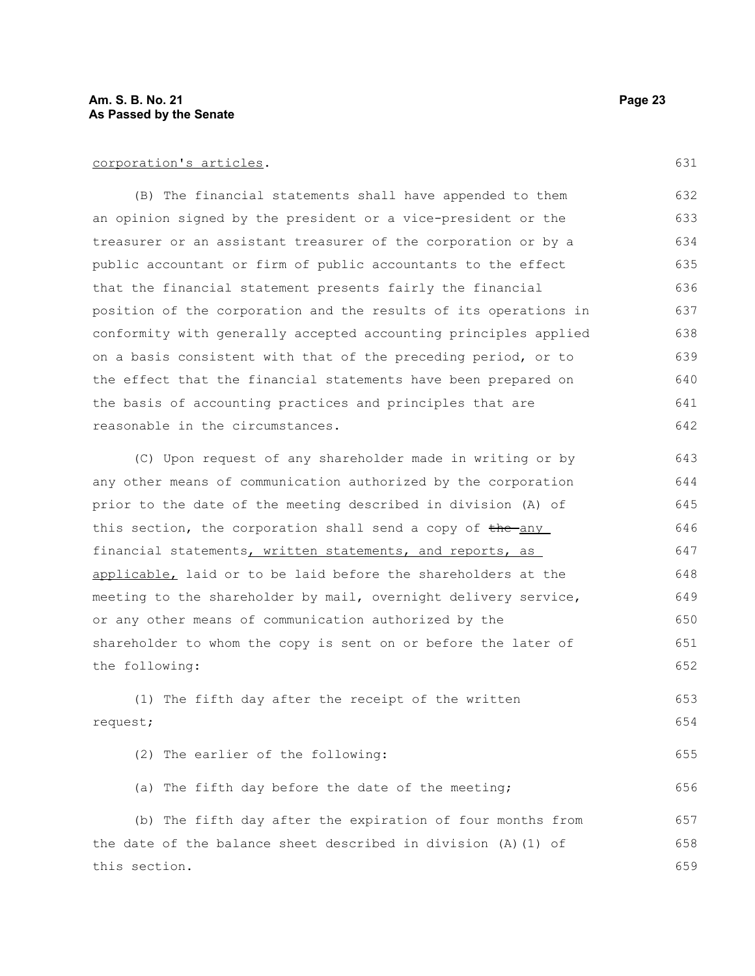corporation's articles.

(B) The financial statements shall have appended to them an opinion signed by the president or a vice-president or the treasurer or an assistant treasurer of the corporation or by a public accountant or firm of public accountants to the effect that the financial statement presents fairly the financial position of the corporation and the results of its operations in conformity with generally accepted accounting principles applied on a basis consistent with that of the preceding period, or to the effect that the financial statements have been prepared on the basis of accounting practices and principles that are reasonable in the circumstances. 632 633 634 635 636 637 638 639 640 641 642

(C) Upon request of any shareholder made in writing or by any other means of communication authorized by the corporation prior to the date of the meeting described in division (A) of this section, the corporation shall send a copy of the any financial statements, written statements, and reports, as applicable, laid or to be laid before the shareholders at the meeting to the shareholder by mail, overnight delivery service, or any other means of communication authorized by the shareholder to whom the copy is sent on or before the later of the following: 643 644 645 646 647 648 649 650 651 652

(1) The fifth day after the receipt of the written request; 653 654

(2) The earlier of the following: (a) The fifth day before the date of the meeting; 655 656

(b) The fifth day after the expiration of four months from the date of the balance sheet described in division (A)(1) of this section. 657 658 659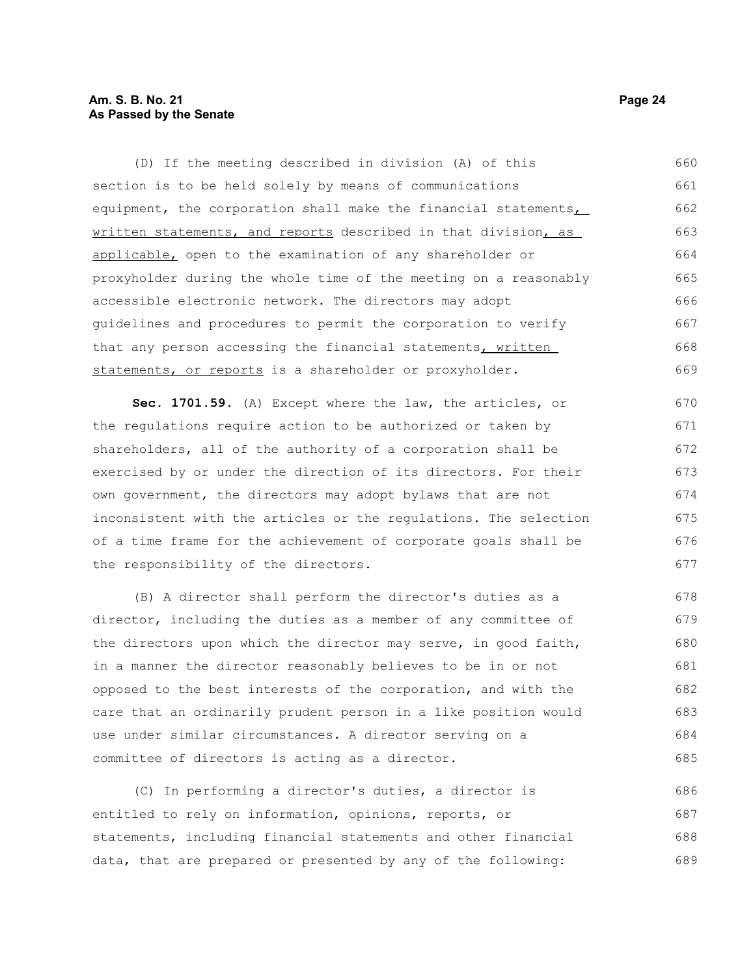# **Am. S. B. No. 21 Page 24 As Passed by the Senate**

(D) If the meeting described in division (A) of this section is to be held solely by means of communications equipment, the corporation shall make the financial statements, written statements, and reports described in that division, as applicable, open to the examination of any shareholder or proxyholder during the whole time of the meeting on a reasonably accessible electronic network. The directors may adopt guidelines and procedures to permit the corporation to verify that any person accessing the financial statements, written statements, or reports is a shareholder or proxyholder. 660 661 662 663 664 665 666 667 668 669

**Sec. 1701.59.** (A) Except where the law, the articles, or the regulations require action to be authorized or taken by shareholders, all of the authority of a corporation shall be exercised by or under the direction of its directors. For their own government, the directors may adopt bylaws that are not inconsistent with the articles or the regulations. The selection of a time frame for the achievement of corporate goals shall be the responsibility of the directors. 670 671 672

(B) A director shall perform the director's duties as a director, including the duties as a member of any committee of the directors upon which the director may serve, in good faith, in a manner the director reasonably believes to be in or not opposed to the best interests of the corporation, and with the care that an ordinarily prudent person in a like position would use under similar circumstances. A director serving on a committee of directors is acting as a director. 678 679 680 681 682 683 684 685

(C) In performing a director's duties, a director is entitled to rely on information, opinions, reports, or statements, including financial statements and other financial data, that are prepared or presented by any of the following: 686 687 688 689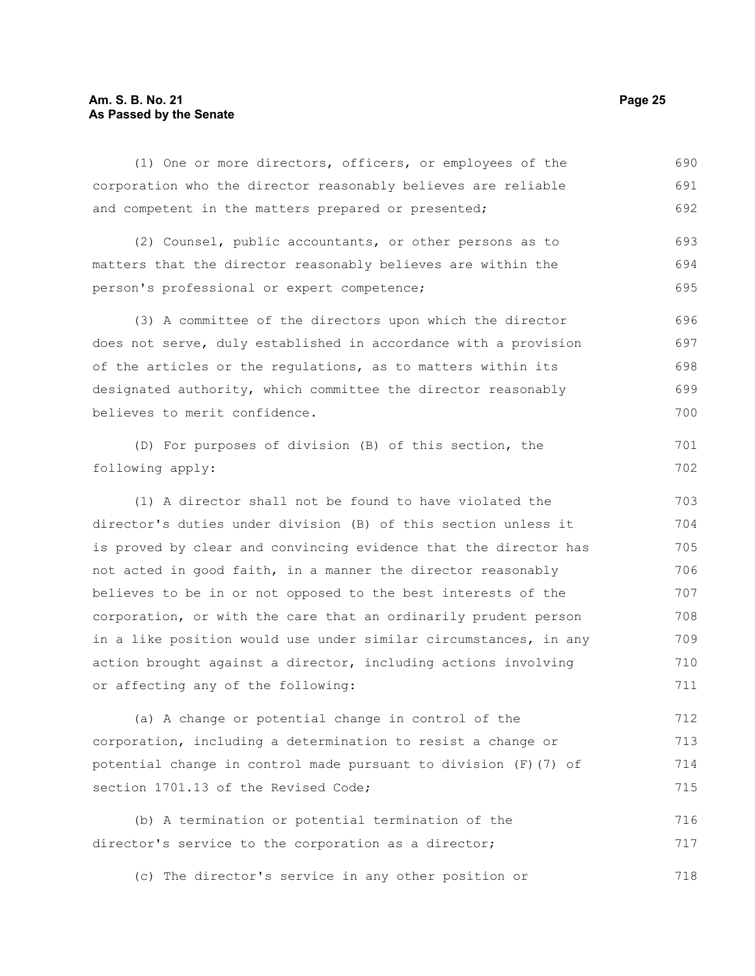# **Am. S. B. No. 21 Page 25 As Passed by the Senate**

(1) One or more directors, officers, or employees of the corporation who the director reasonably believes are reliable and competent in the matters prepared or presented; 690 691 692

(2) Counsel, public accountants, or other persons as to matters that the director reasonably believes are within the person's professional or expert competence; 693 694 695

(3) A committee of the directors upon which the director does not serve, duly established in accordance with a provision of the articles or the regulations, as to matters within its designated authority, which committee the director reasonably believes to merit confidence. 696 697 698 699 700

(D) For purposes of division (B) of this section, the following apply:

(1) A director shall not be found to have violated the director's duties under division (B) of this section unless it is proved by clear and convincing evidence that the director has not acted in good faith, in a manner the director reasonably believes to be in or not opposed to the best interests of the corporation, or with the care that an ordinarily prudent person in a like position would use under similar circumstances, in any action brought against a director, including actions involving or affecting any of the following: 703 704 705 706 707 708 709 710 711

(a) A change or potential change in control of the corporation, including a determination to resist a change or potential change in control made pursuant to division (F)(7) of section 1701.13 of the Revised Code; 712 713 714 715

(b) A termination or potential termination of the director's service to the corporation as a director; 716 717

(c) The director's service in any other position or 718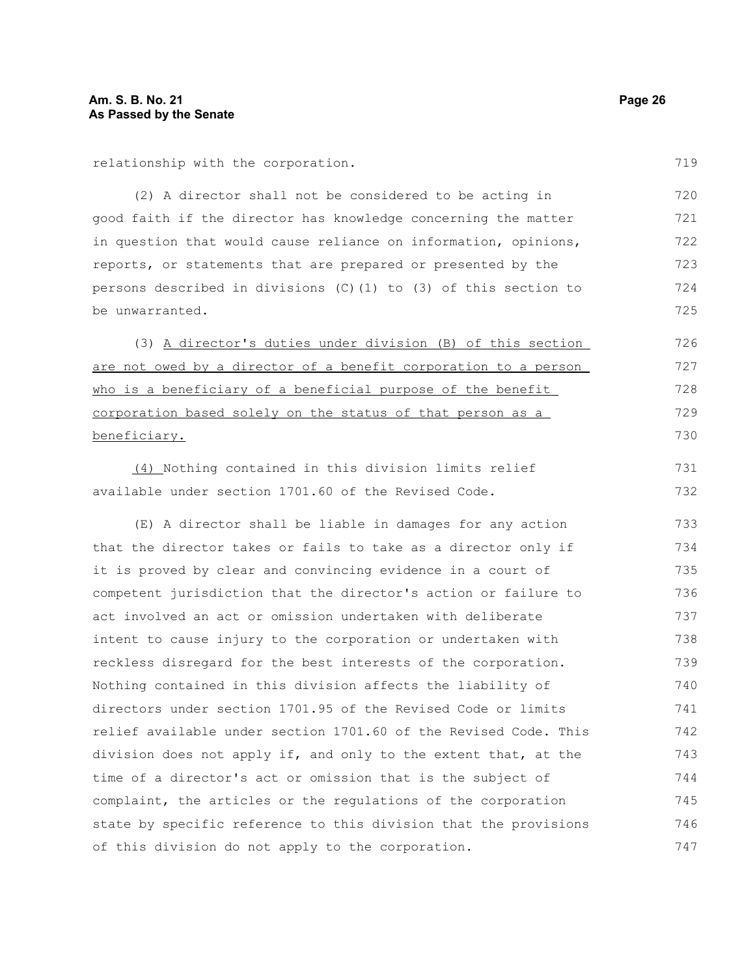relationship with the corporation.

(2) A director shall not be considered to be acting in good faith if the director has knowledge concerning the matter in question that would cause reliance on information, opinions, reports, or statements that are prepared or presented by the persons described in divisions  $(C)$  (1) to (3) of this section to be unwarranted. 720 721 722 723 724 725

(3) A director's duties under division (B) of this section are not owed by a director of a benefit corporation to a person who is a beneficiary of a beneficial purpose of the benefit corporation based solely on the status of that person as a beneficiary. 726 727

(4) Nothing contained in this division limits relief available under section 1701.60 of the Revised Code. 731 732

(E) A director shall be liable in damages for any action that the director takes or fails to take as a director only if it is proved by clear and convincing evidence in a court of competent jurisdiction that the director's action or failure to act involved an act or omission undertaken with deliberate intent to cause injury to the corporation or undertaken with reckless disregard for the best interests of the corporation. Nothing contained in this division affects the liability of directors under section 1701.95 of the Revised Code or limits relief available under section 1701.60 of the Revised Code. This division does not apply if, and only to the extent that, at the time of a director's act or omission that is the subject of complaint, the articles or the regulations of the corporation state by specific reference to this division that the provisions of this division do not apply to the corporation. 733 734 735 736 737 738 739 740 741 742 743 744 745 746 747

719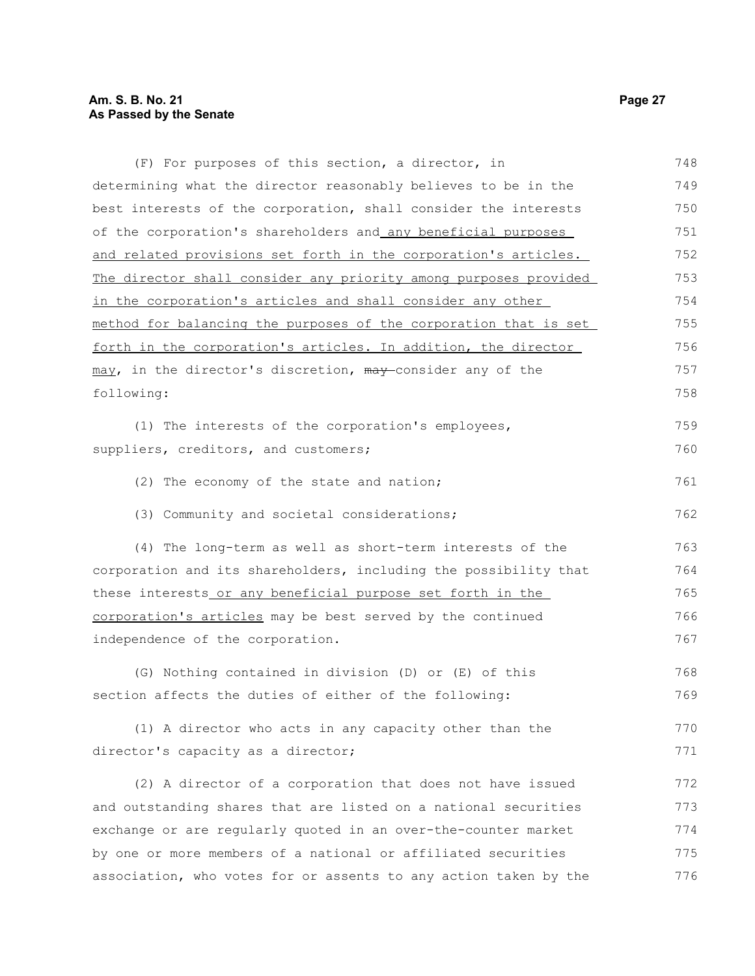| (F) For purposes of this section, a director, in                 | 748 |
|------------------------------------------------------------------|-----|
| determining what the director reasonably believes to be in the   | 749 |
| best interests of the corporation, shall consider the interests  | 750 |
| of the corporation's shareholders and any beneficial purposes    | 751 |
| and related provisions set forth in the corporation's articles.  | 752 |
| The director shall consider any priority among purposes provided | 753 |
| in the corporation's articles and shall consider any other       | 754 |
| method for balancing the purposes of the corporation that is set | 755 |
| forth in the corporation's articles. In addition, the director   | 756 |
| may, in the director's discretion, may-consider any of the       | 757 |
| following:                                                       | 758 |
| (1) The interests of the corporation's employees,                | 759 |
| suppliers, creditors, and customers;                             | 760 |
| (2) The economy of the state and nation;                         | 761 |
| (3) Community and societal considerations;                       | 762 |
| (4) The long-term as well as short-term interests of the         | 763 |
| corporation and its shareholders, including the possibility that | 764 |
| these interests or any beneficial purpose set forth in the       | 765 |
| corporation's articles may be best served by the continued       | 766 |
| independence of the corporation.                                 | 767 |
| (G) Nothing contained in division (D) or (E) of this             | 768 |
| section affects the duties of either of the following:           | 769 |
| (1) A director who acts in any capacity other than the           | 770 |
| director's capacity as a director;                               | 771 |
| (2) A director of a corporation that does not have issued        | 772 |
| and outstanding shares that are listed on a national securities  | 773 |
| exchange or are regularly quoted in an over-the-counter market   | 774 |
| by one or more members of a national or affiliated securities    | 775 |
| association, who votes for or assents to any action taken by the | 776 |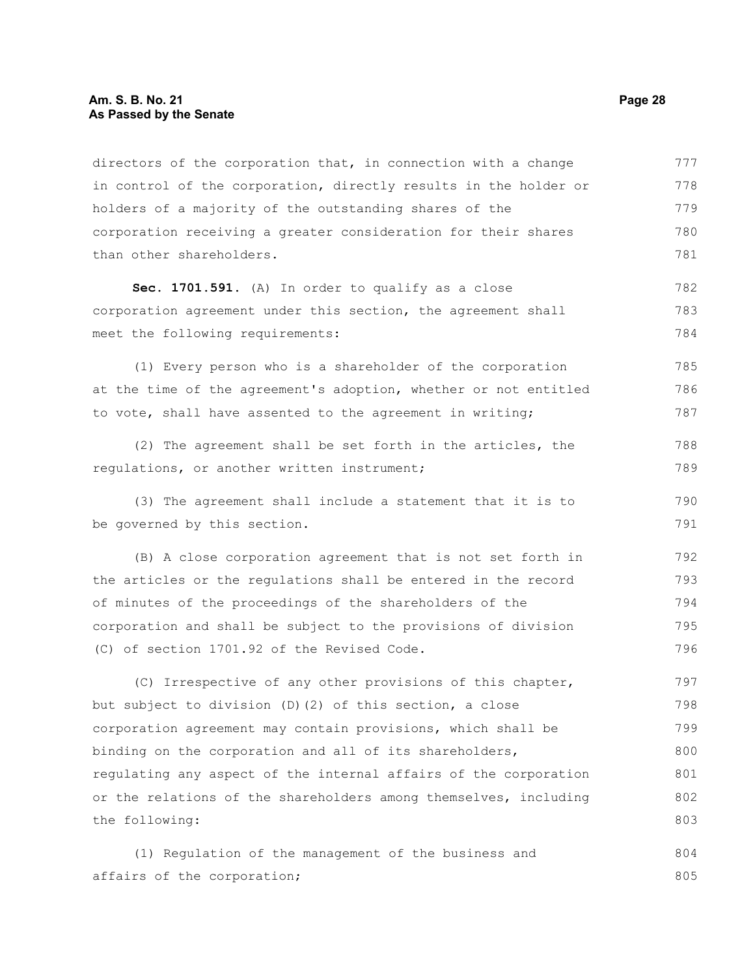directors of the corporation that, in connection with a change in control of the corporation, directly results in the holder or holders of a majority of the outstanding shares of the corporation receiving a greater consideration for their shares than other shareholders. 777 778 779 780 781

**Sec. 1701.591.** (A) In order to qualify as a close corporation agreement under this section, the agreement shall meet the following requirements: 782 783 784

(1) Every person who is a shareholder of the corporation at the time of the agreement's adoption, whether or not entitled to vote, shall have assented to the agreement in writing;

(2) The agreement shall be set forth in the articles, the regulations, or another written instrument; 788 789

(3) The agreement shall include a statement that it is to be governed by this section. 790 791

(B) A close corporation agreement that is not set forth in the articles or the regulations shall be entered in the record of minutes of the proceedings of the shareholders of the corporation and shall be subject to the provisions of division (C) of section 1701.92 of the Revised Code. 792 793 794 795 796

(C) Irrespective of any other provisions of this chapter, but subject to division (D)(2) of this section, a close corporation agreement may contain provisions, which shall be binding on the corporation and all of its shareholders, regulating any aspect of the internal affairs of the corporation or the relations of the shareholders among themselves, including the following: 797 798 799 800 801 802 803

(1) Regulation of the management of the business and affairs of the corporation; 804 805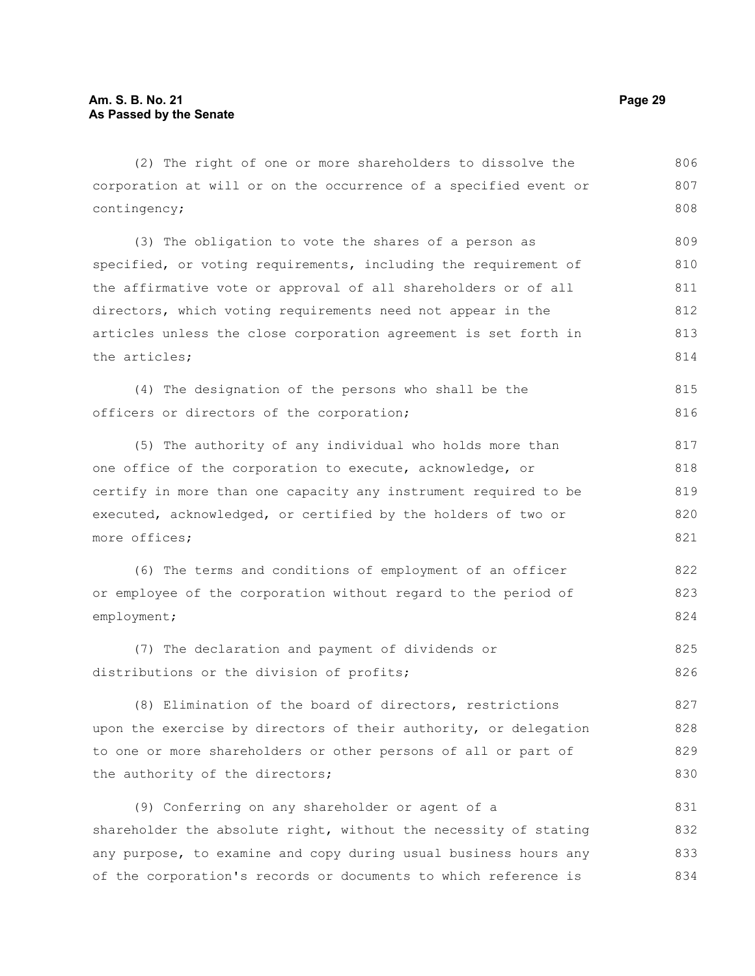(2) The right of one or more shareholders to dissolve the corporation at will or on the occurrence of a specified event or contingency; (3) The obligation to vote the shares of a person as specified, or voting requirements, including the requirement of the affirmative vote or approval of all shareholders or of all directors, which voting requirements need not appear in the articles unless the close corporation agreement is set forth in the articles; (4) The designation of the persons who shall be the officers or directors of the corporation; (5) The authority of any individual who holds more than one office of the corporation to execute, acknowledge, or certify in more than one capacity any instrument required to be executed, acknowledged, or certified by the holders of two or more offices; (6) The terms and conditions of employment of an officer or employee of the corporation without regard to the period of employment; (7) The declaration and payment of dividends or distributions or the division of profits; (8) Elimination of the board of directors, restrictions upon the exercise by directors of their authority, or delegation to one or more shareholders or other persons of all or part of the authority of the directors; (9) Conferring on any shareholder or agent of a shareholder the absolute right, without the necessity of stating 806 807 808 809 810 811 812 813 814 815 816 817 818 819 820 821 822 823 824 825 826 827 828 829 830 831 832

any purpose, to examine and copy during usual business hours any of the corporation's records or documents to which reference is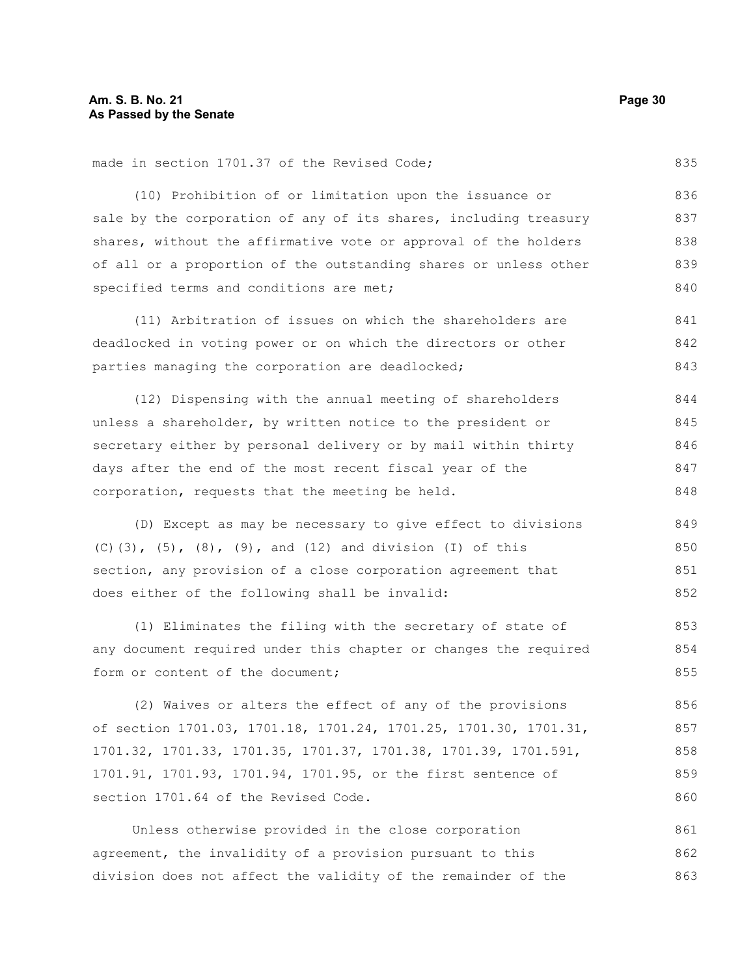made in section 1701.37 of the Revised Code;

(10) Prohibition of or limitation upon the issuance or sale by the corporation of any of its shares, including treasury shares, without the affirmative vote or approval of the holders of all or a proportion of the outstanding shares or unless other specified terms and conditions are met; 836 837 838 839 840

(11) Arbitration of issues on which the shareholders are deadlocked in voting power or on which the directors or other parties managing the corporation are deadlocked; 841 842 843

(12) Dispensing with the annual meeting of shareholders unless a shareholder, by written notice to the president or secretary either by personal delivery or by mail within thirty days after the end of the most recent fiscal year of the corporation, requests that the meeting be held. 844 845 846 847 848

(D) Except as may be necessary to give effect to divisions (C)(3),  $(5)$ ,  $(8)$ ,  $(9)$ , and  $(12)$  and division  $(1)$  of this section, any provision of a close corporation agreement that does either of the following shall be invalid: 849 850 851 852

(1) Eliminates the filing with the secretary of state of any document required under this chapter or changes the required form or content of the document; 853 854 855

(2) Waives or alters the effect of any of the provisions of section 1701.03, 1701.18, 1701.24, 1701.25, 1701.30, 1701.31, 1701.32, 1701.33, 1701.35, 1701.37, 1701.38, 1701.39, 1701.591, 1701.91, 1701.93, 1701.94, 1701.95, or the first sentence of section 1701.64 of the Revised Code. 856 857 858 859 860

Unless otherwise provided in the close corporation agreement, the invalidity of a provision pursuant to this division does not affect the validity of the remainder of the 861 862 863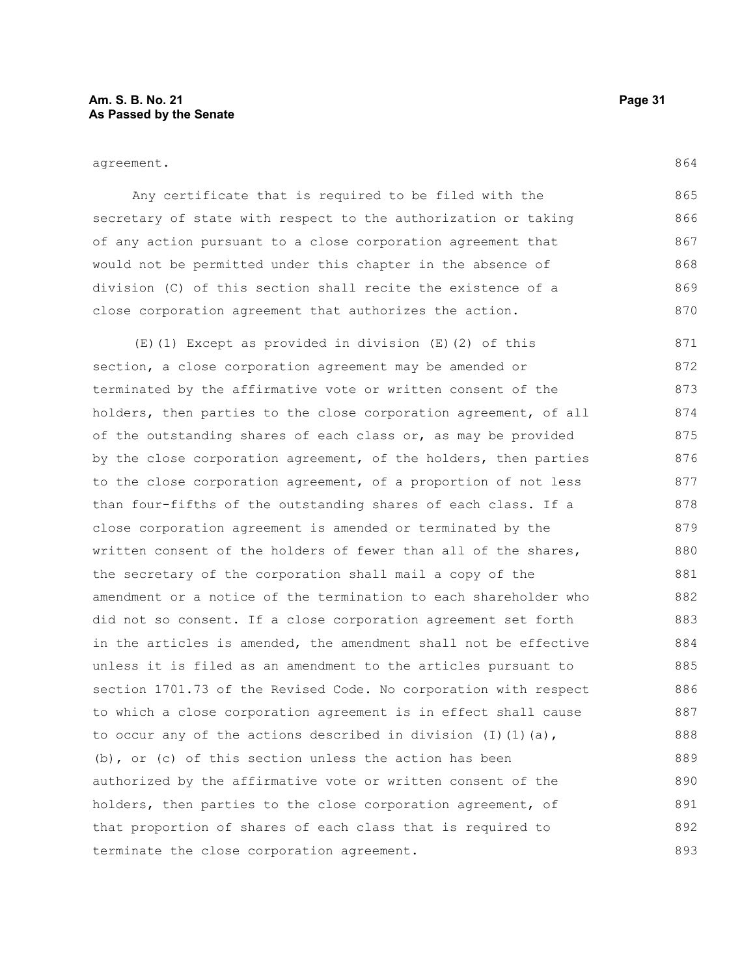864

Any certificate that is required to be filed with the secretary of state with respect to the authorization or taking of any action pursuant to a close corporation agreement that would not be permitted under this chapter in the absence of division (C) of this section shall recite the existence of a close corporation agreement that authorizes the action. 865 866 867 868 869 870

(E)(1) Except as provided in division (E)(2) of this section, a close corporation agreement may be amended or terminated by the affirmative vote or written consent of the holders, then parties to the close corporation agreement, of all of the outstanding shares of each class or, as may be provided by the close corporation agreement, of the holders, then parties to the close corporation agreement, of a proportion of not less than four-fifths of the outstanding shares of each class. If a close corporation agreement is amended or terminated by the written consent of the holders of fewer than all of the shares, the secretary of the corporation shall mail a copy of the amendment or a notice of the termination to each shareholder who did not so consent. If a close corporation agreement set forth in the articles is amended, the amendment shall not be effective unless it is filed as an amendment to the articles pursuant to section 1701.73 of the Revised Code. No corporation with respect to which a close corporation agreement is in effect shall cause to occur any of the actions described in division  $(I)$   $(I)$   $(a)$ , (b), or (c) of this section unless the action has been authorized by the affirmative vote or written consent of the holders, then parties to the close corporation agreement, of that proportion of shares of each class that is required to terminate the close corporation agreement. 871 872 873 874 875 876 877 878 879 880 881 882 883 884 885 886 887 888 889 890 891 892 893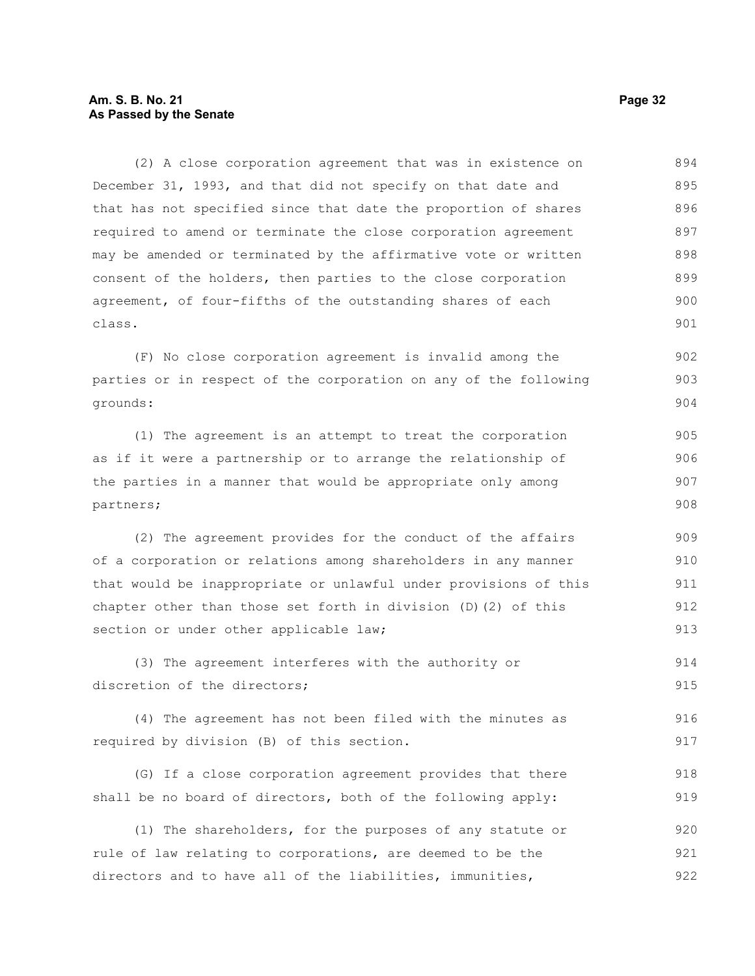# **Am. S. B. No. 21 Page 32 As Passed by the Senate**

(2) A close corporation agreement that was in existence on December 31, 1993, and that did not specify on that date and that has not specified since that date the proportion of shares required to amend or terminate the close corporation agreement may be amended or terminated by the affirmative vote or written consent of the holders, then parties to the close corporation agreement, of four-fifths of the outstanding shares of each class. 894 895 896 897 898 899 900 901

(F) No close corporation agreement is invalid among the parties or in respect of the corporation on any of the following grounds: 902 903 904

(1) The agreement is an attempt to treat the corporation as if it were a partnership or to arrange the relationship of the parties in a manner that would be appropriate only among partners; 905 906 907 908

(2) The agreement provides for the conduct of the affairs of a corporation or relations among shareholders in any manner that would be inappropriate or unlawful under provisions of this chapter other than those set forth in division (D)(2) of this section or under other applicable law; 909 910 911 912 913

(3) The agreement interferes with the authority or discretion of the directors; 914 915

(4) The agreement has not been filed with the minutes as required by division (B) of this section. 916 917

(G) If a close corporation agreement provides that there shall be no board of directors, both of the following apply: 918 919

(1) The shareholders, for the purposes of any statute or rule of law relating to corporations, are deemed to be the directors and to have all of the liabilities, immunities, 920 921 922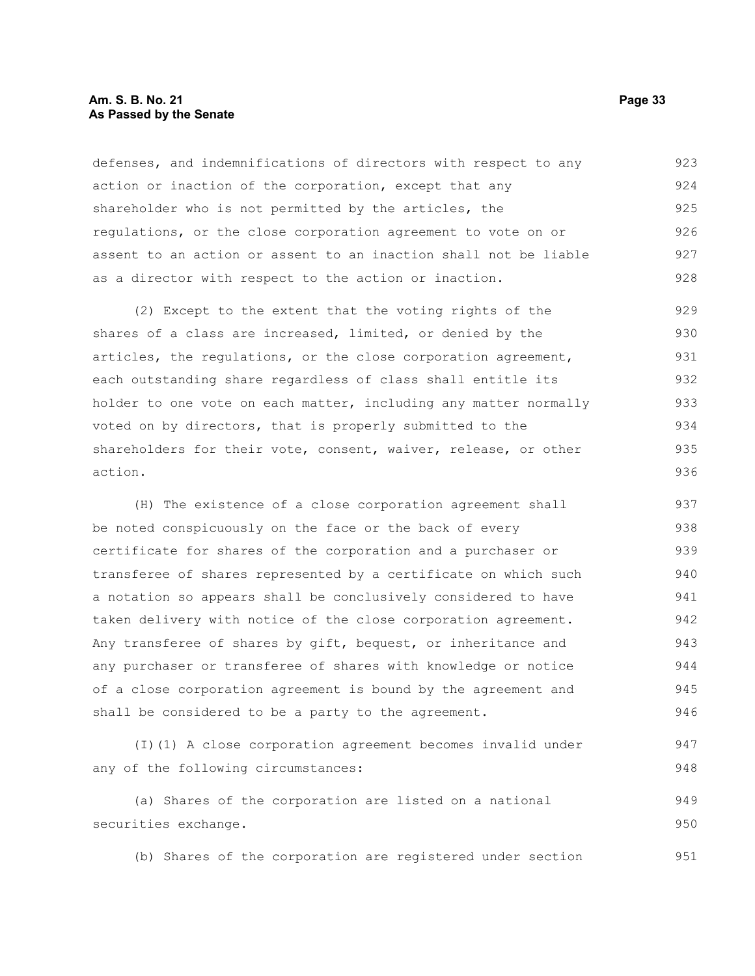# **Am. S. B. No. 21 Page 33 As Passed by the Senate**

defenses, and indemnifications of directors with respect to any action or inaction of the corporation, except that any shareholder who is not permitted by the articles, the regulations, or the close corporation agreement to vote on or assent to an action or assent to an inaction shall not be liable as a director with respect to the action or inaction. 923 924 925 926 927 928

(2) Except to the extent that the voting rights of the shares of a class are increased, limited, or denied by the articles, the regulations, or the close corporation agreement, each outstanding share regardless of class shall entitle its holder to one vote on each matter, including any matter normally voted on by directors, that is properly submitted to the shareholders for their vote, consent, waiver, release, or other action. 929 930 931 932 933 934 935 936

(H) The existence of a close corporation agreement shall be noted conspicuously on the face or the back of every certificate for shares of the corporation and a purchaser or transferee of shares represented by a certificate on which such a notation so appears shall be conclusively considered to have taken delivery with notice of the close corporation agreement. Any transferee of shares by gift, bequest, or inheritance and any purchaser or transferee of shares with knowledge or notice of a close corporation agreement is bound by the agreement and shall be considered to be a party to the agreement. 937 938 939 940 941 942 943 944 945 946

(I)(1) A close corporation agreement becomes invalid under any of the following circumstances:

(a) Shares of the corporation are listed on a national securities exchange. 949 950

(b) Shares of the corporation are registered under section 951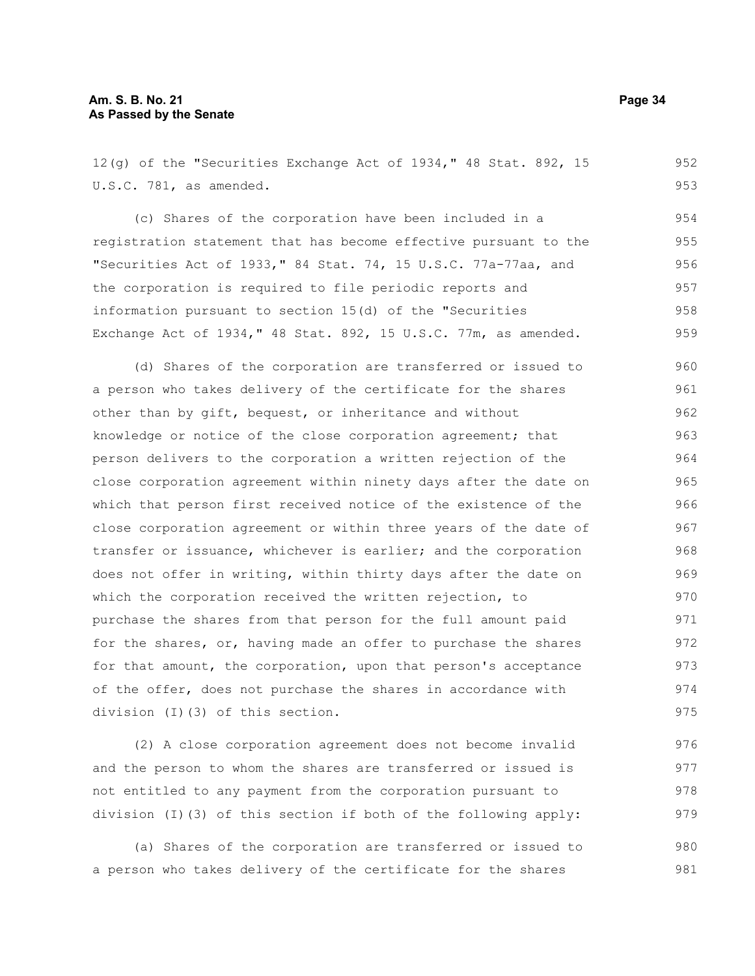12(g) of the "Securities Exchange Act of 1934," 48 Stat. 892, 15 U.S.C. 781, as amended. (c) Shares of the corporation have been included in a registration statement that has become effective pursuant to the "Securities Act of 1933," 84 Stat. 74, 15 U.S.C. 77a-77aa, and the corporation is required to file periodic reports and information pursuant to section 15(d) of the "Securities Exchange Act of 1934," 48 Stat. 892, 15 U.S.C. 77m, as amended. (d) Shares of the corporation are transferred or issued to a person who takes delivery of the certificate for the shares other than by gift, bequest, or inheritance and without knowledge or notice of the close corporation agreement; that person delivers to the corporation a written rejection of the close corporation agreement within ninety days after the date on which that person first received notice of the existence of the close corporation agreement or within three years of the date of transfer or issuance, whichever is earlier; and the corporation does not offer in writing, within thirty days after the date on which the corporation received the written rejection, to purchase the shares from that person for the full amount paid for the shares, or, having made an offer to purchase the shares for that amount, the corporation, upon that person's acceptance of the offer, does not purchase the shares in accordance with division (I)(3) of this section. 952 953 954 955 956 957 958 959 960 961 962 963 964 965 966 967 968 969 970 971 972 973 974 975

(2) A close corporation agreement does not become invalid and the person to whom the shares are transferred or issued is not entitled to any payment from the corporation pursuant to division (I)(3) of this section if both of the following apply: 976 977 978 979

(a) Shares of the corporation are transferred or issued to a person who takes delivery of the certificate for the shares 980 981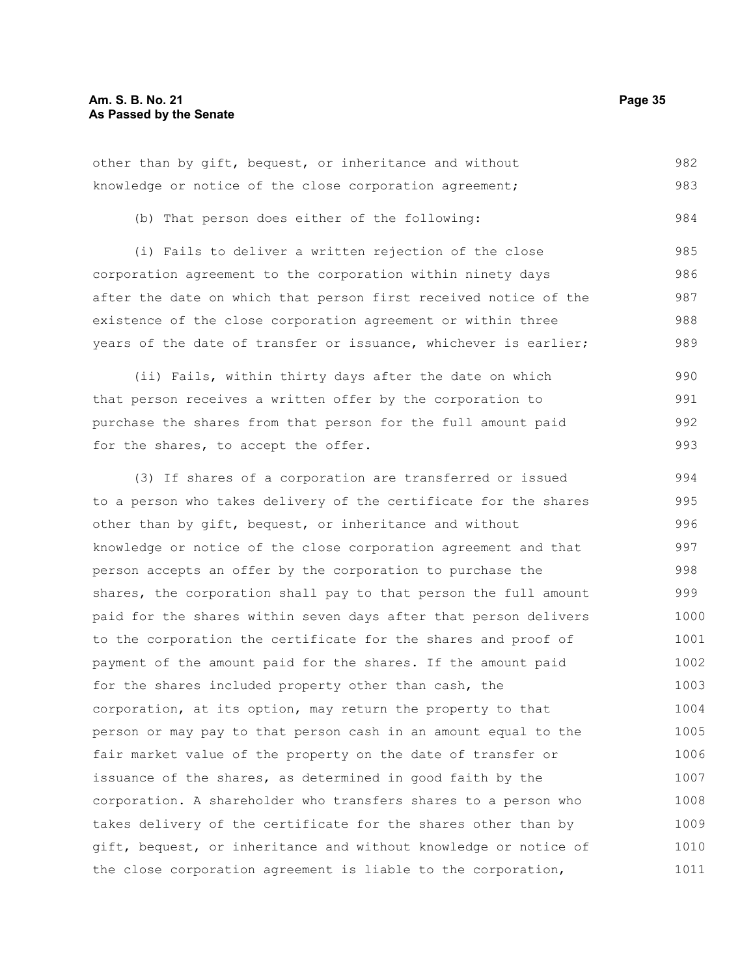|  |  | other than by gift, bequest, or inheritance and without |  | 982 |
|--|--|---------------------------------------------------------|--|-----|
|  |  | knowledge or notice of the close corporation agreement; |  | 983 |

(b) That person does either of the following:

(i) Fails to deliver a written rejection of the close corporation agreement to the corporation within ninety days after the date on which that person first received notice of the existence of the close corporation agreement or within three years of the date of transfer or issuance, whichever is earlier; 985 986 987 988 989

(ii) Fails, within thirty days after the date on which that person receives a written offer by the corporation to purchase the shares from that person for the full amount paid for the shares, to accept the offer. 990 991 992 993

(3) If shares of a corporation are transferred or issued to a person who takes delivery of the certificate for the shares other than by gift, bequest, or inheritance and without knowledge or notice of the close corporation agreement and that person accepts an offer by the corporation to purchase the shares, the corporation shall pay to that person the full amount paid for the shares within seven days after that person delivers to the corporation the certificate for the shares and proof of payment of the amount paid for the shares. If the amount paid for the shares included property other than cash, the corporation, at its option, may return the property to that person or may pay to that person cash in an amount equal to the fair market value of the property on the date of transfer or issuance of the shares, as determined in good faith by the corporation. A shareholder who transfers shares to a person who takes delivery of the certificate for the shares other than by gift, bequest, or inheritance and without knowledge or notice of the close corporation agreement is liable to the corporation, 994 995 996 997 998 999 1000 1001 1002 1003 1004 1005 1006 1007 1008 1009 1010 1011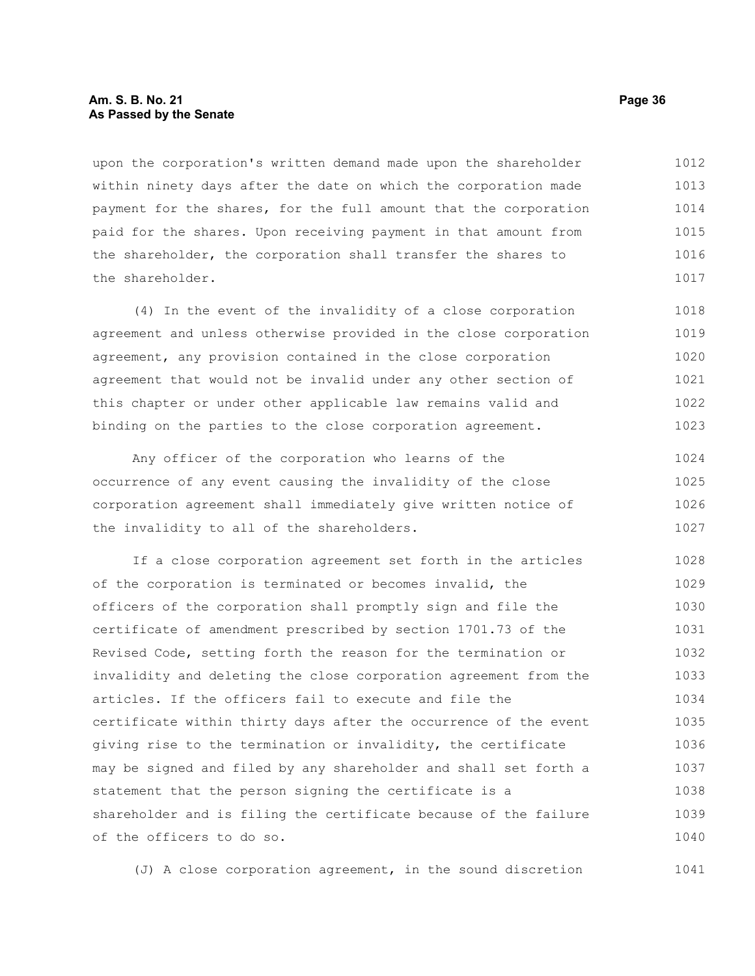# **Am. S. B. No. 21 Page 36 As Passed by the Senate**

upon the corporation's written demand made upon the shareholder within ninety days after the date on which the corporation made payment for the shares, for the full amount that the corporation paid for the shares. Upon receiving payment in that amount from the shareholder, the corporation shall transfer the shares to the shareholder. 1012 1013 1014 1015 1016 1017

(4) In the event of the invalidity of a close corporation agreement and unless otherwise provided in the close corporation agreement, any provision contained in the close corporation agreement that would not be invalid under any other section of this chapter or under other applicable law remains valid and binding on the parties to the close corporation agreement. 1018 1019 1020 1021 1022 1023

Any officer of the corporation who learns of the occurrence of any event causing the invalidity of the close corporation agreement shall immediately give written notice of the invalidity to all of the shareholders. 1024 1025 1026 1027

If a close corporation agreement set forth in the articles of the corporation is terminated or becomes invalid, the officers of the corporation shall promptly sign and file the certificate of amendment prescribed by section 1701.73 of the Revised Code, setting forth the reason for the termination or invalidity and deleting the close corporation agreement from the articles. If the officers fail to execute and file the certificate within thirty days after the occurrence of the event giving rise to the termination or invalidity, the certificate may be signed and filed by any shareholder and shall set forth a statement that the person signing the certificate is a shareholder and is filing the certificate because of the failure of the officers to do so. 1028 1029 1030 1031 1032 1033 1034 1035 1036 1037 1038 1039 1040

(J) A close corporation agreement, in the sound discretion 1041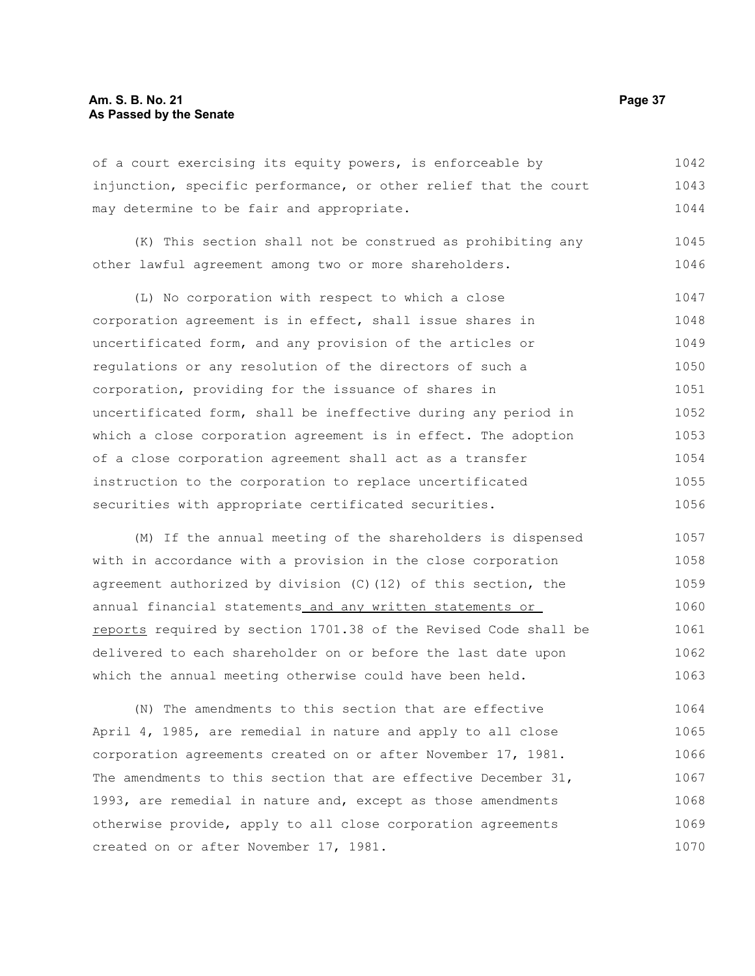of a court exercising its equity powers, is enforceable by injunction, specific performance, or other relief that the court may determine to be fair and appropriate. 1042 1043 1044

(K) This section shall not be construed as prohibiting any other lawful agreement among two or more shareholders. 1045 1046

(L) No corporation with respect to which a close corporation agreement is in effect, shall issue shares in uncertificated form, and any provision of the articles or regulations or any resolution of the directors of such a corporation, providing for the issuance of shares in uncertificated form, shall be ineffective during any period in which a close corporation agreement is in effect. The adoption of a close corporation agreement shall act as a transfer instruction to the corporation to replace uncertificated securities with appropriate certificated securities. 1047 1048 1049 1050 1051 1052 1053 1054 1055 1056

(M) If the annual meeting of the shareholders is dispensed with in accordance with a provision in the close corporation agreement authorized by division (C)(12) of this section, the annual financial statements and any written statements or reports required by section 1701.38 of the Revised Code shall be delivered to each shareholder on or before the last date upon which the annual meeting otherwise could have been held. 1057 1058 1059 1060 1061 1062 1063

(N) The amendments to this section that are effective April 4, 1985, are remedial in nature and apply to all close corporation agreements created on or after November 17, 1981. The amendments to this section that are effective December 31, 1993, are remedial in nature and, except as those amendments otherwise provide, apply to all close corporation agreements created on or after November 17, 1981. 1064 1065 1066 1067 1068 1069 1070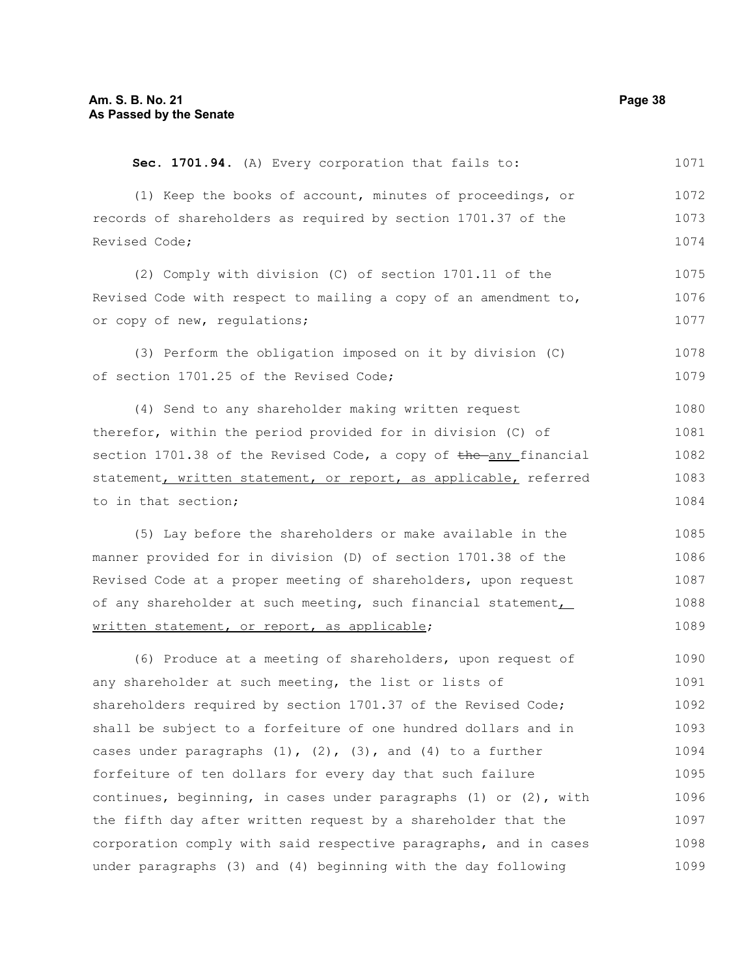(1) Keep the books of account, minutes of proceedings, or records of shareholders as required by section 1701.37 of the Revised Code; (2) Comply with division (C) of section 1701.11 of the Revised Code with respect to mailing a copy of an amendment to, or copy of new, regulations; (3) Perform the obligation imposed on it by division (C) of section 1701.25 of the Revised Code; (4) Send to any shareholder making written request therefor, within the period provided for in division (C) of section  $1701.38$  of the Revised Code, a copy of  $the$ -any financial statement, written statement, or report, as applicable, referred to in that section; (5) Lay before the shareholders or make available in the manner provided for in division (D) of section 1701.38 of the Revised Code at a proper meeting of shareholders, upon request of any shareholder at such meeting, such financial statement, written statement, or report, as applicable; (6) Produce at a meeting of shareholders, upon request of any shareholder at such meeting, the list or lists of shareholders required by section 1701.37 of the Revised Code; shall be subject to a forfeiture of one hundred dollars and in cases under paragraphs  $(1)$ ,  $(2)$ ,  $(3)$ , and  $(4)$  to a further forfeiture of ten dollars for every day that such failure continues, beginning, in cases under paragraphs (1) or (2), with the fifth day after written request by a shareholder that the corporation comply with said respective paragraphs, and in cases under paragraphs (3) and (4) beginning with the day following 1072 1073 1074 1075 1076 1077 1078 1079 1080 1081 1082 1083 1084 1085 1086 1087 1088 1089 1090 1091 1092 1093 1094 1095 1096 1097 1098 1099

**Sec. 1701.94.** (A) Every corporation that fails to: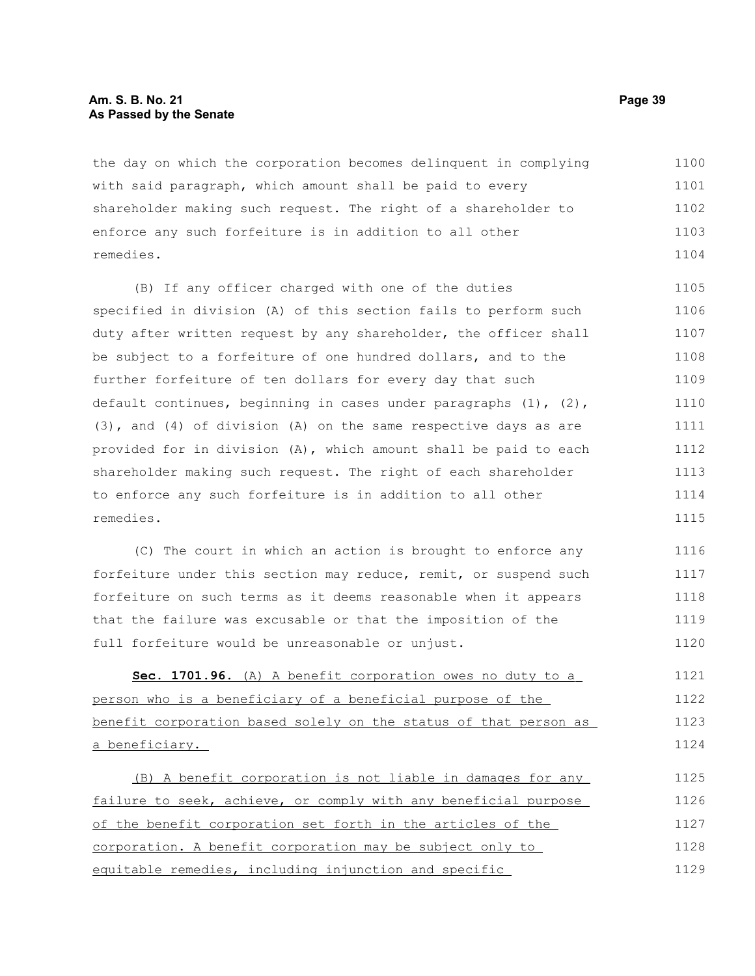# **Am. S. B. No. 21 Page 39 As Passed by the Senate**

the day on which the corporation becomes delinquent in complying with said paragraph, which amount shall be paid to every shareholder making such request. The right of a shareholder to enforce any such forfeiture is in addition to all other remedies. 1100 1101 1102 1103 1104

(B) If any officer charged with one of the duties specified in division (A) of this section fails to perform such duty after written request by any shareholder, the officer shall be subject to a forfeiture of one hundred dollars, and to the further forfeiture of ten dollars for every day that such default continues, beginning in cases under paragraphs (1), (2), (3), and (4) of division (A) on the same respective days as are provided for in division (A), which amount shall be paid to each shareholder making such request. The right of each shareholder to enforce any such forfeiture is in addition to all other remedies. 1105 1106 1107 1108 1109 1110 1111 1112 1113 1114 1115

(C) The court in which an action is brought to enforce any forfeiture under this section may reduce, remit, or suspend such forfeiture on such terms as it deems reasonable when it appears that the failure was excusable or that the imposition of the full forfeiture would be unreasonable or unjust. 1116 1117 1118 1119 1120

 **Sec. 1701.96.** (A) A benefit corporation owes no duty to a person who is a beneficiary of a beneficial purpose of the benefit corporation based solely on the status of that person as a beneficiary. 1121 1122 1123 1124

(B) A benefit corporation is not liable in damages for any failure to seek, achieve, or comply with any beneficial purpose of the benefit corporation set forth in the articles of the corporation. A benefit corporation may be subject only to equitable remedies, including injunction and specific 1125 1126 1127 1128 1129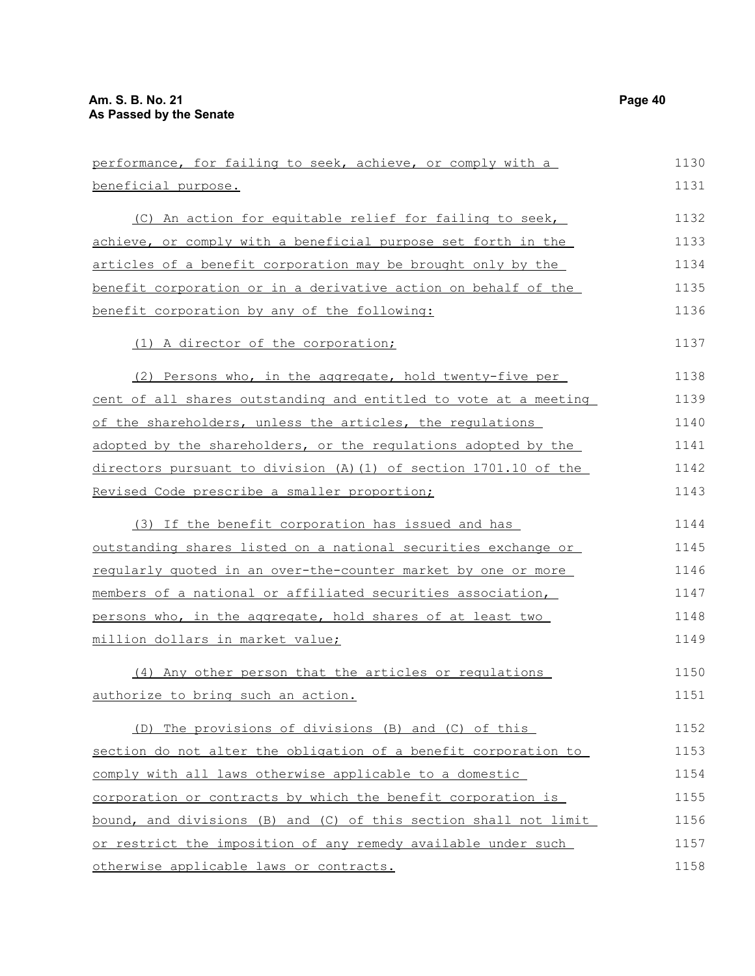| performance, for failing to seek, achieve, or comply with a      | 1130 |
|------------------------------------------------------------------|------|
| beneficial purpose.                                              | 1131 |
| (C) An action for equitable relief for failing to seek,          | 1132 |
| achieve, or comply with a beneficial purpose set forth in the    | 1133 |
| articles of a benefit corporation may be brought only by the     | 1134 |
| benefit corporation or in a derivative action on behalf of the   | 1135 |
| benefit corporation by any of the following:                     | 1136 |
| (1) A director of the corporation;                               | 1137 |
| (2) Persons who, in the aggregate, hold twenty-five per          | 1138 |
| cent of all shares outstanding and entitled to vote at a meeting | 1139 |
| of the shareholders, unless the articles, the requlations        | 1140 |
| adopted by the shareholders, or the regulations adopted by the   | 1141 |
| directors pursuant to division (A) (1) of section 1701.10 of the | 1142 |
| Revised Code prescribe a smaller proportion;                     | 1143 |
| (3) If the benefit corporation has issued and has                | 1144 |
| outstanding shares listed on a national securities exchange or   | 1145 |
| reqularly quoted in an over-the-counter market by one or more    | 1146 |
| members of a national or affiliated securities association,      | 1147 |
| persons who, in the aggregate, hold shares of at least two       | 1148 |
| million dollars in market value;                                 | 1149 |
| (4) Any other person that the articles or regulations            | 1150 |
| authorize to bring such an action.                               | 1151 |
| (D) The provisions of divisions (B) and (C) of this              | 1152 |
| section do not alter the obligation of a benefit corporation to  | 1153 |
| comply with all laws otherwise applicable to a domestic          | 1154 |
| corporation or contracts by which the benefit corporation is     | 1155 |
| bound, and divisions (B) and (C) of this section shall not limit | 1156 |
| or restrict the imposition of any remedy available under such    | 1157 |
| otherwise applicable laws or contracts.                          | 1158 |